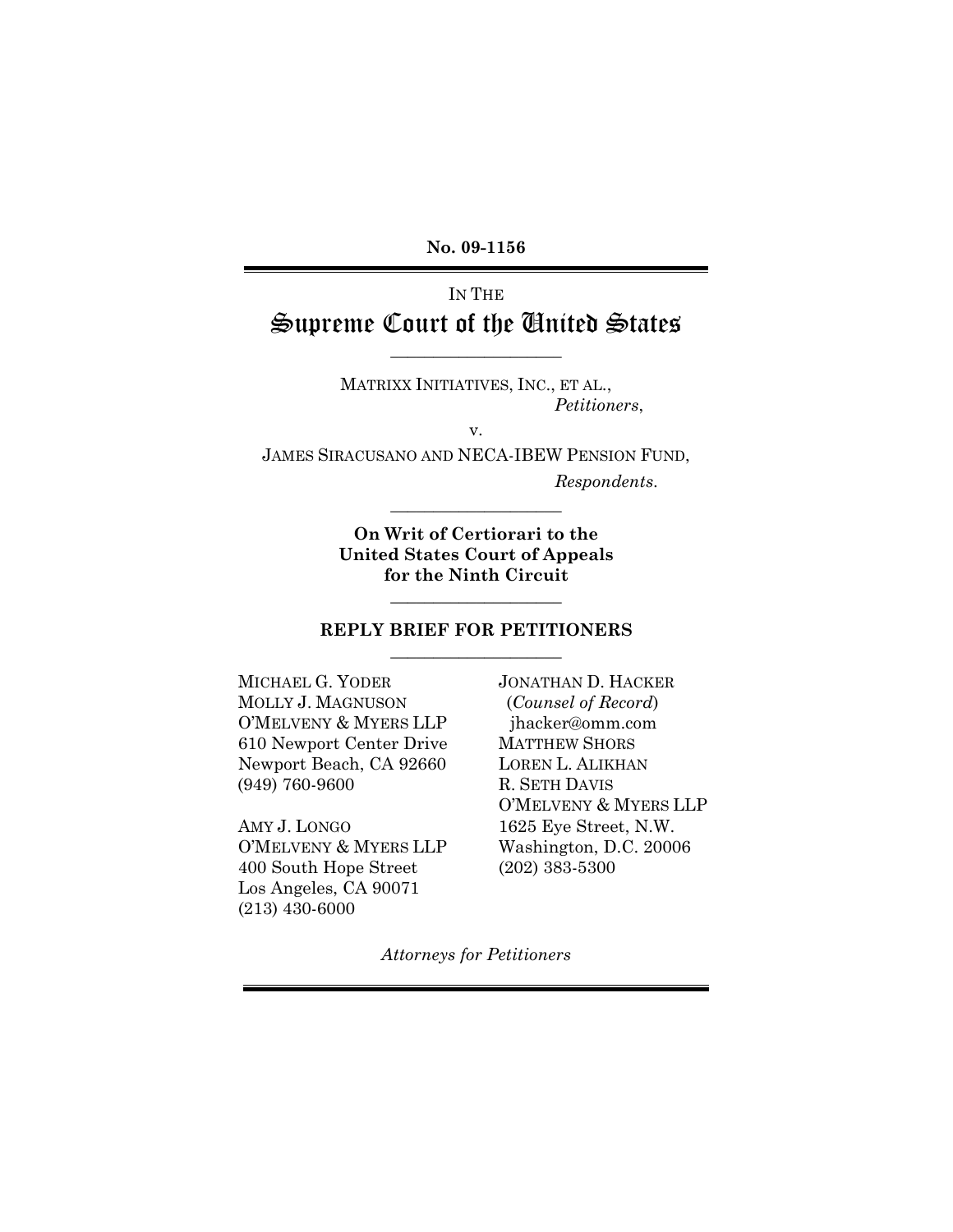**No. 09-1156** 

# IN THE Supreme Court of the United States

\_\_\_\_\_\_\_\_\_\_\_\_\_\_\_\_\_\_\_\_

MATRIXX INITIATIVES, INC., ET AL., *Petitioners*,

v.

JAMES SIRACUSANO AND NECA-IBEW PENSION FUND,

*Respondents*.

**On Writ of Certiorari to the United States Court of Appeals for the Ninth Circuit** 

\_\_\_\_\_\_\_\_\_\_\_\_\_\_\_\_\_\_\_\_

\_\_\_\_\_\_\_\_\_\_\_\_\_\_\_\_\_\_\_\_

#### **REPLY BRIEF FOR PETITIONERS**  \_\_\_\_\_\_\_\_\_\_\_\_\_\_\_\_\_\_\_\_

MICHAEL G. YODER MOLLY J. MAGNUSON O'MELVENY & MYERS LLP 610 Newport Center Drive Newport Beach, CA 92660 (949) 760-9600

AMY J. LONGO O'MELVENY & MYERS LLP 400 South Hope Street Los Angeles, CA 90071 (213) 430-6000

JONATHAN D. HACKER (*Counsel of Record*) jhacker@omm.com MATTHEW SHORS LOREN L. ALIKHAN R. SETH DAVIS O'MELVENY & MYERS LLP 1625 Eye Street, N.W. Washington, D.C. 20006 (202) 383-5300

*Attorneys for Petitioners*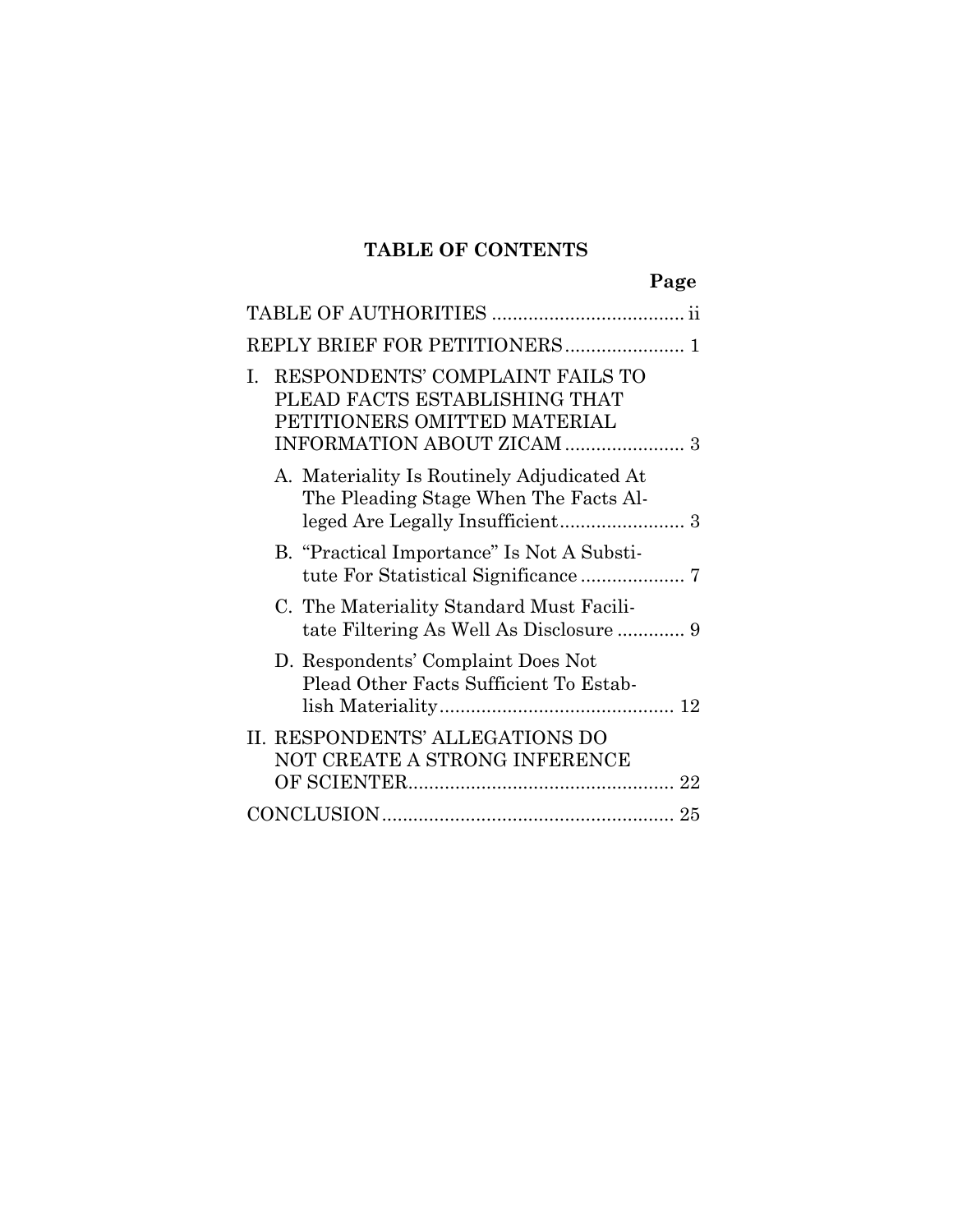# **TABLE OF CONTENTS**

|                                                                                                        | Page |
|--------------------------------------------------------------------------------------------------------|------|
|                                                                                                        |      |
| REPLY BRIEF FOR PETITIONERS 1                                                                          |      |
| RESPONDENTS' COMPLAINT FAILS TO<br>L.<br>PLEAD FACTS ESTABLISHING THAT<br>PETITIONERS OMITTED MATERIAL |      |
| A. Materiality Is Routinely Adjudicated At<br>The Pleading Stage When The Facts Al-                    |      |
| B. "Practical Importance" Is Not A Substi-                                                             |      |
| C. The Materiality Standard Must Facili-                                                               |      |
| D. Respondents' Complaint Does Not<br>Plead Other Facts Sufficient To Estab-                           |      |
| II. RESPONDENTS' ALLEGATIONS DO<br>NOT CREATE A STRONG INFERENCE                                       |      |
|                                                                                                        |      |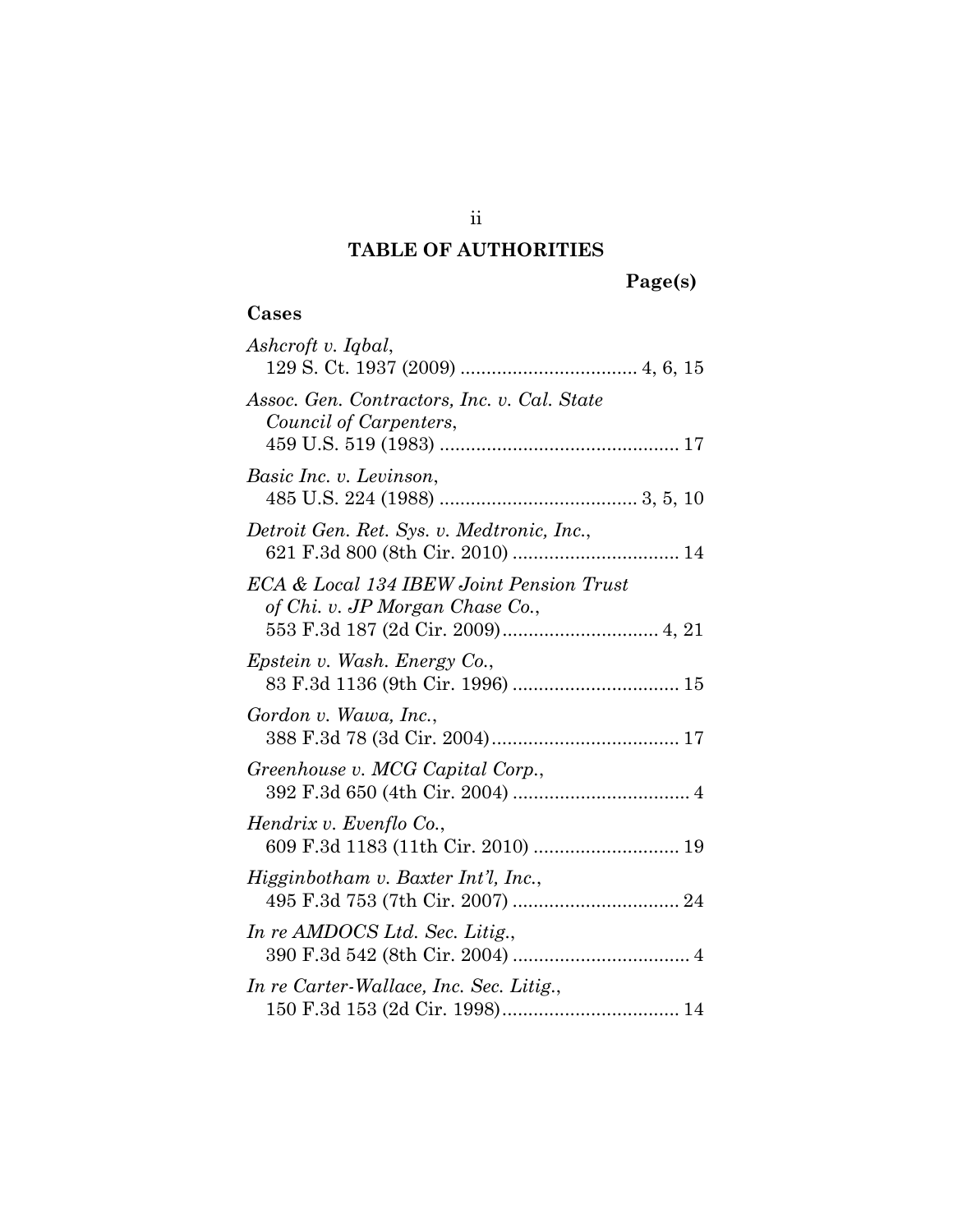## **TABLE OF AUTHORITIES**

# **Cases**

| <b>Cases</b>                                                                |
|-----------------------------------------------------------------------------|
| Ashcroft v. Iqbal,                                                          |
| Assoc. Gen. Contractors, Inc. v. Cal. State<br>Council of Carpenters,       |
| Basic Inc. v. Levinson,                                                     |
| Detroit Gen. Ret. Sys. v. Medtronic, Inc.,                                  |
| ECA & Local 134 IBEW Joint Pension Trust<br>of Chi. v. JP Morgan Chase Co., |
| Epstein v. Wash. Energy Co.,<br>83 F.3d 1136 (9th Cir. 1996)  15            |
| Gordon v. Wawa, Inc.,                                                       |
| Greenhouse v. MCG Capital Corp.,                                            |
| Hendrix v. Evenflo Co.,<br>609 F.3d 1183 (11th Cir. 2010)  19               |
| Higginbotham v. Baxter Int'l, Inc.,                                         |
| In re AMDOCS Ltd. Sec. Litig.,                                              |
| In re Carter-Wallace, Inc. Sec. Litig.,                                     |

ii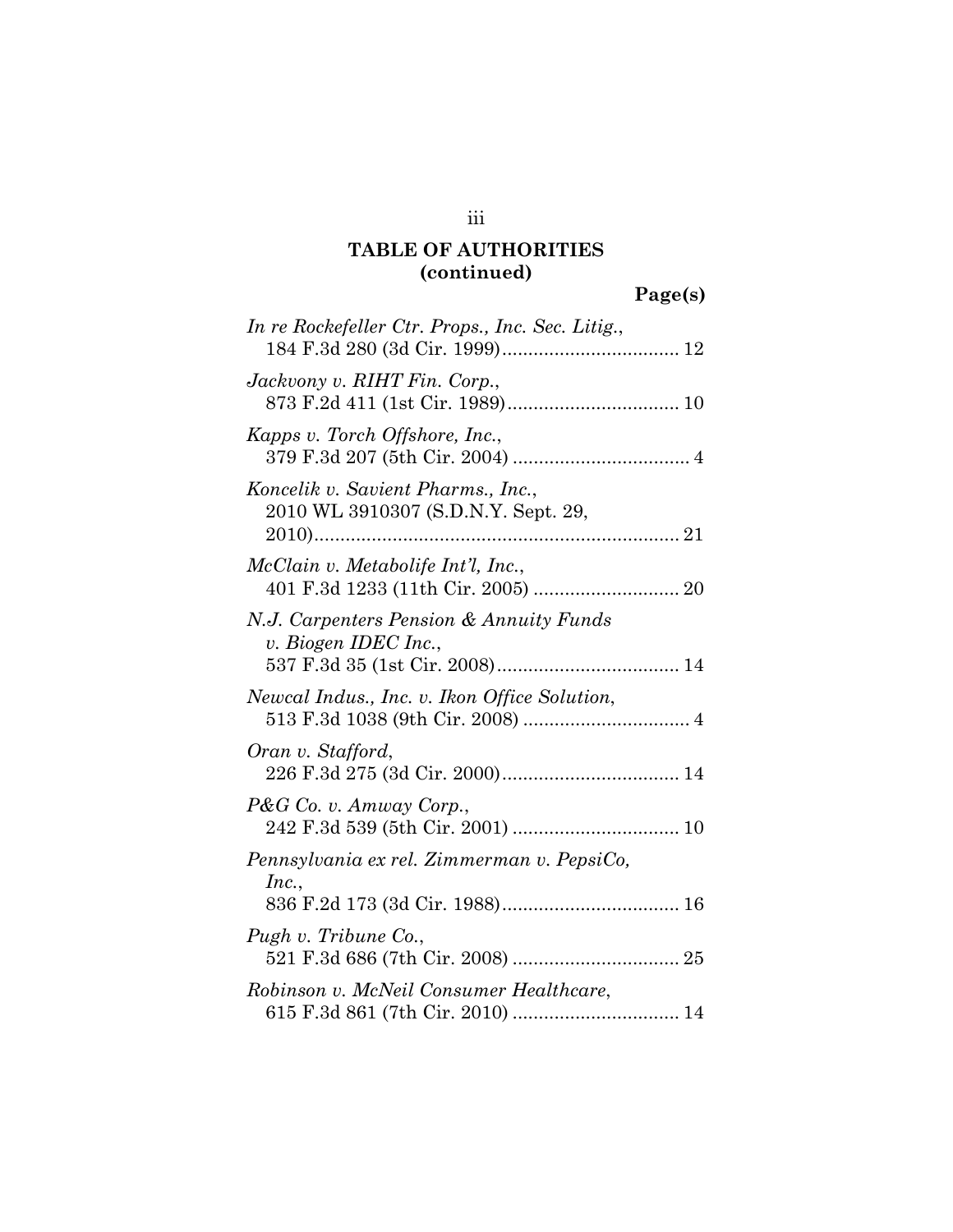iii

| In re Rockefeller Ctr. Props., Inc. Sec. Litig.,                                      |
|---------------------------------------------------------------------------------------|
| Jackvony v. RIHT Fin. Corp.,                                                          |
| Kapps v. Torch Offshore, Inc.,                                                        |
| Koncelik v. Savient Pharms., Inc.,<br>2010 WL 3910307 (S.D.N.Y. Sept. 29,             |
| McClain v. Metabolife Int'l, Inc.,                                                    |
| N.J. Carpenters Pension & Annuity Funds<br>v. Biogen IDEC Inc.,                       |
| Newcal Indus., Inc. v. Ikon Office Solution,                                          |
| Oran v. Stafford,                                                                     |
| P&G Co. v. Amway Corp.,                                                               |
| Pennsylvania ex rel. Zimmerman v. PepsiCo,<br>Inc.,<br>836 F.2d 173 (3d Cir. 1988) 16 |
| Pugh v. Tribune Co.,                                                                  |
| Robinson v. McNeil Consumer Healthcare,                                               |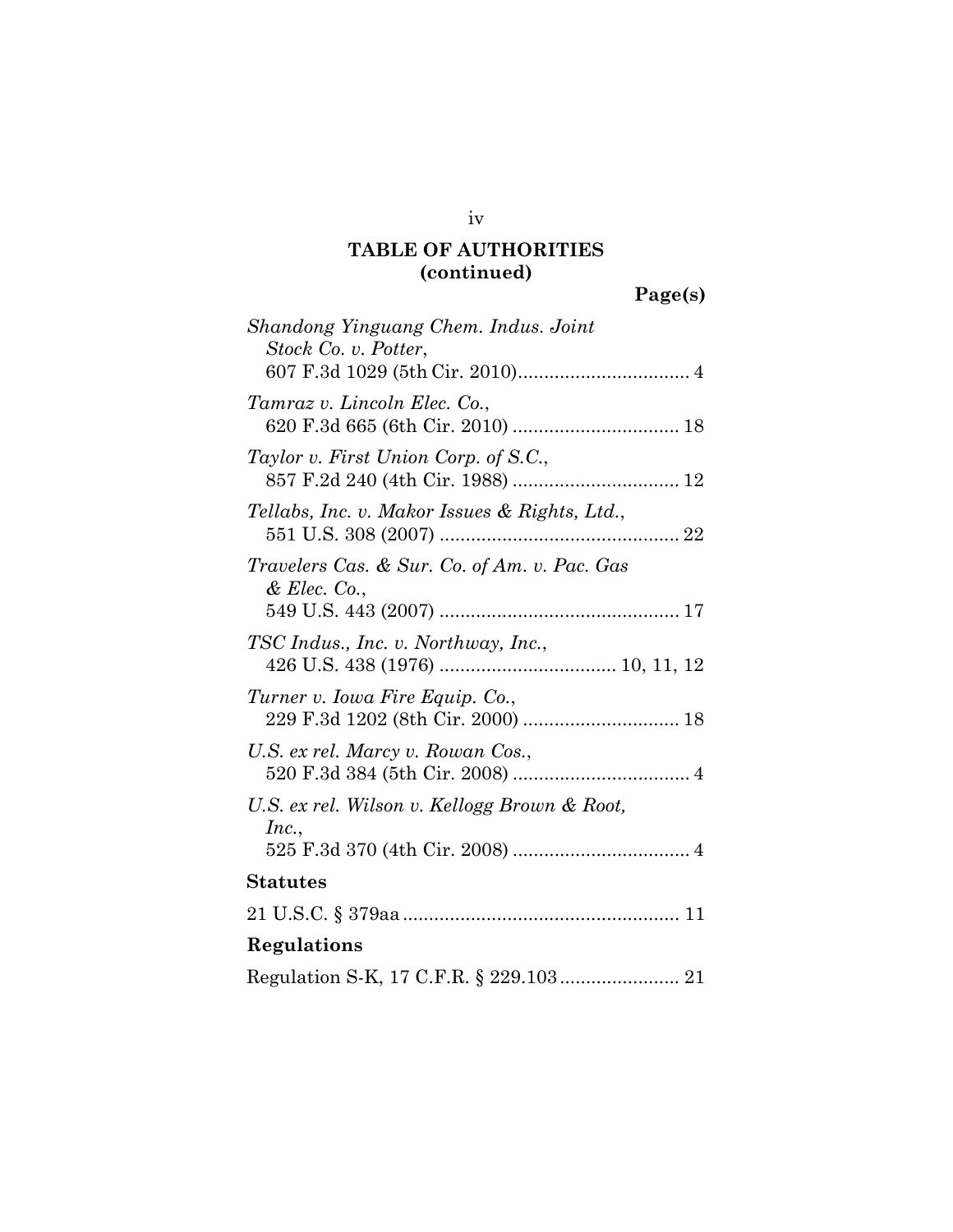| ا ده ۱<br>n |  |
|-------------|--|
|             |  |

| Shandong Yinguang Chem. Indus. Joint                         |
|--------------------------------------------------------------|
| Stock Co. v. Potter,                                         |
| Tamraz v. Lincoln Elec. Co.,                                 |
| Taylor v. First Union Corp. of S.C.,                         |
| Tellabs, Inc. v. Makor Issues & Rights, Ltd.,                |
| Travelers Cas. & Sur. Co. of Am. v. Pac. Gas<br>& Elec. Co., |
| TSC Indus., Inc. v. Northway, Inc.,                          |
| Turner v. Iowa Fire Equip. Co.,                              |
| U.S. ex rel. Marcy v. Rowan Cos.,                            |
| U.S. ex rel. Wilson v. Kellogg Brown & Root,<br>Inc.,        |
| <b>Statutes</b>                                              |
|                                                              |
| Regulations                                                  |
| Regulation S-K, 17 C.F.R. § 229.103 21                       |

iv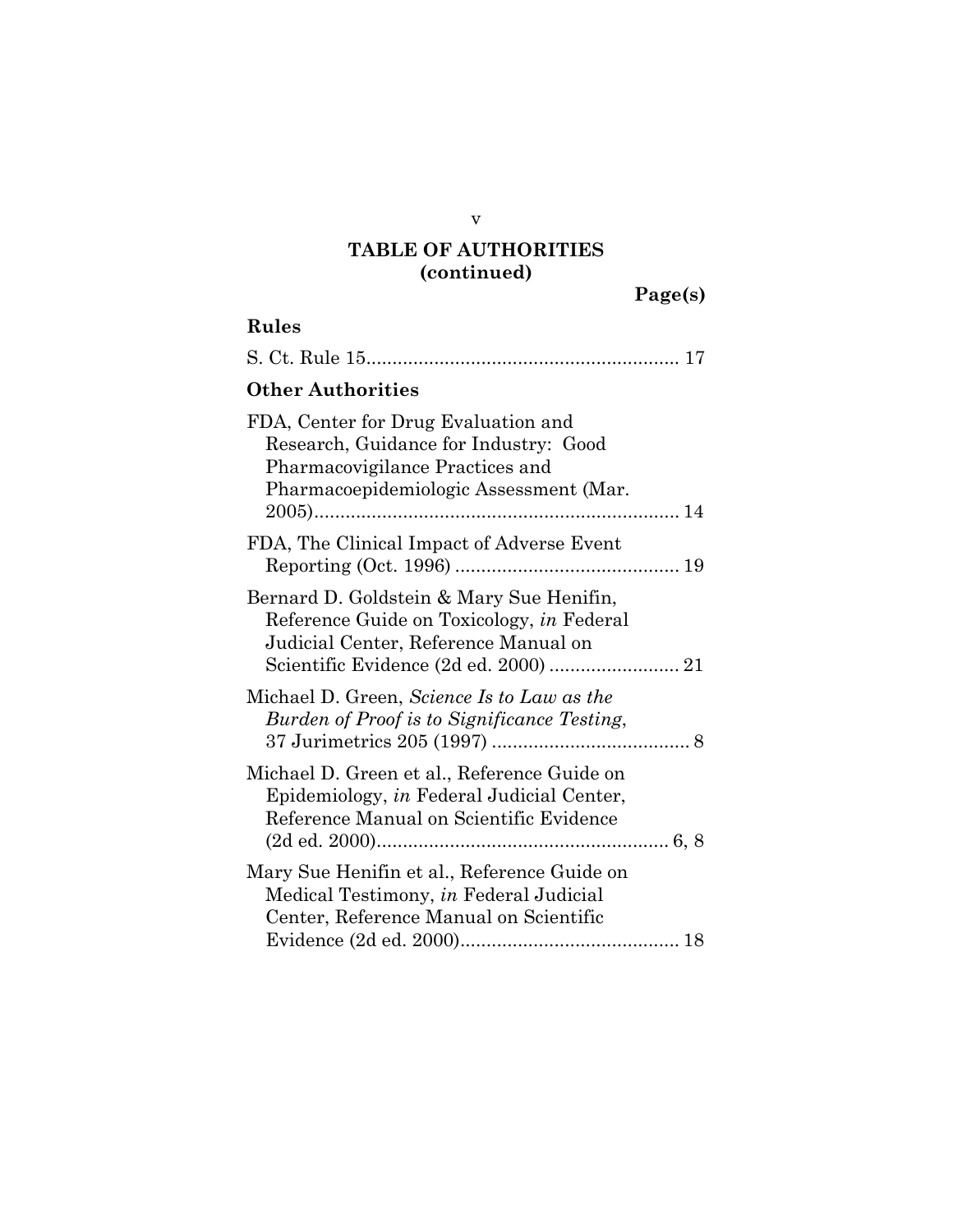### **Rules**

| <b>Other Authorities</b>                                                                                                                                  |
|-----------------------------------------------------------------------------------------------------------------------------------------------------------|
| FDA, Center for Drug Evaluation and<br>Research, Guidance for Industry: Good<br>Pharmacovigilance Practices and<br>Pharmacoepidemiologic Assessment (Mar. |
| FDA, The Clinical Impact of Adverse Event                                                                                                                 |
| Bernard D. Goldstein & Mary Sue Henifin,<br>Reference Guide on Toxicology, in Federal<br>Judicial Center, Reference Manual on                             |
| Michael D. Green, Science Is to Law as the<br>Burden of Proof is to Significance Testing,                                                                 |
| Michael D. Green et al., Reference Guide on<br>Epidemiology, in Federal Judicial Center,<br>Reference Manual on Scientific Evidence                       |
| Mary Sue Henifin et al., Reference Guide on<br>Medical Testimony, in Federal Judicial<br>Center, Reference Manual on Scientific                           |

v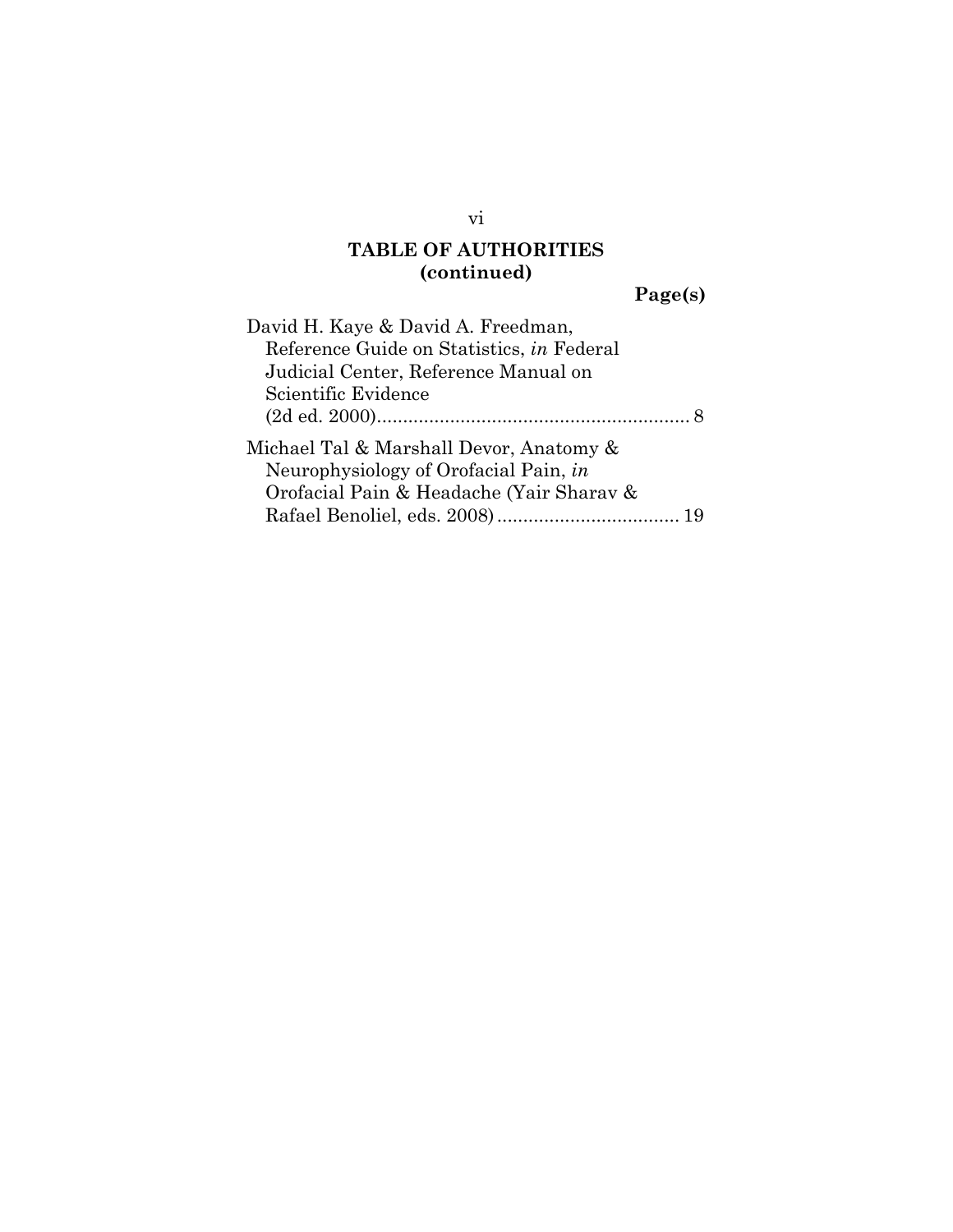**Page(s)** 

| David H. Kaye & David A. Freedman,        |  |
|-------------------------------------------|--|
| Reference Guide on Statistics, in Federal |  |
| Judicial Center, Reference Manual on      |  |
| Scientific Evidence                       |  |
|                                           |  |
| Michael Tal & Marshall Devor, Anatomy &   |  |
| Neurophysiology of Orofacial Pain, in     |  |
| Orofacial Pain & Headache (Yair Sharav &  |  |
|                                           |  |

vi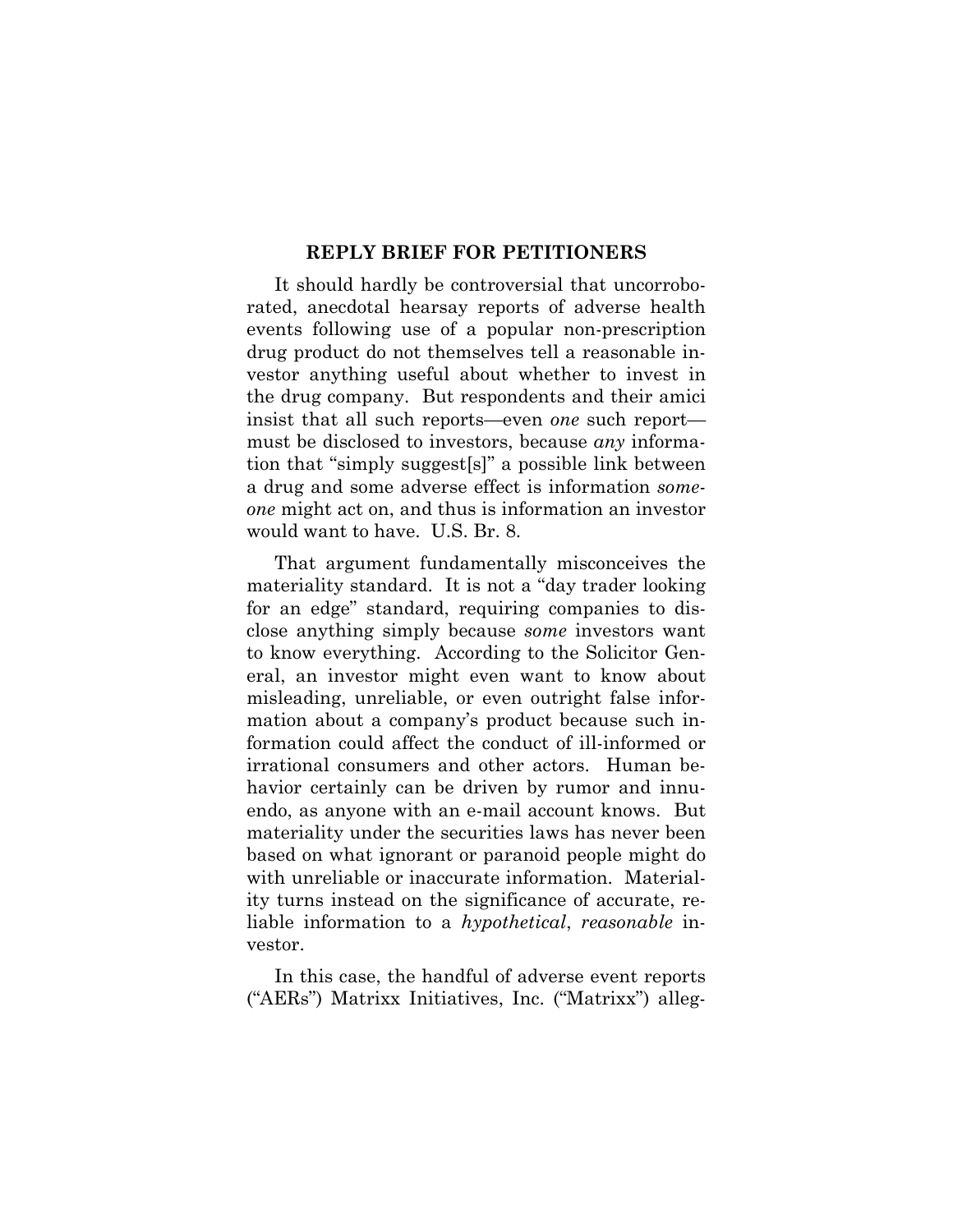#### **REPLY BRIEF FOR PETITIONERS**

It should hardly be controversial that uncorroborated, anecdotal hearsay reports of adverse health events following use of a popular non-prescription drug product do not themselves tell a reasonable investor anything useful about whether to invest in the drug company. But respondents and their amici insist that all such reports—even *one* such report must be disclosed to investors, because *any* information that "simply suggest[s]" a possible link between a drug and some adverse effect is information *someone* might act on, and thus is information an investor would want to have. U.S. Br. 8.

That argument fundamentally misconceives the materiality standard. It is not a "day trader looking for an edge" standard, requiring companies to disclose anything simply because *some* investors want to know everything. According to the Solicitor General, an investor might even want to know about misleading, unreliable, or even outright false information about a company's product because such information could affect the conduct of ill-informed or irrational consumers and other actors. Human behavior certainly can be driven by rumor and innuendo, as anyone with an e-mail account knows. But materiality under the securities laws has never been based on what ignorant or paranoid people might do with unreliable or inaccurate information. Materiality turns instead on the significance of accurate, reliable information to a *hypothetical*, *reasonable* investor.

In this case, the handful of adverse event reports ("AERs") Matrixx Initiatives, Inc. ("Matrixx") alleg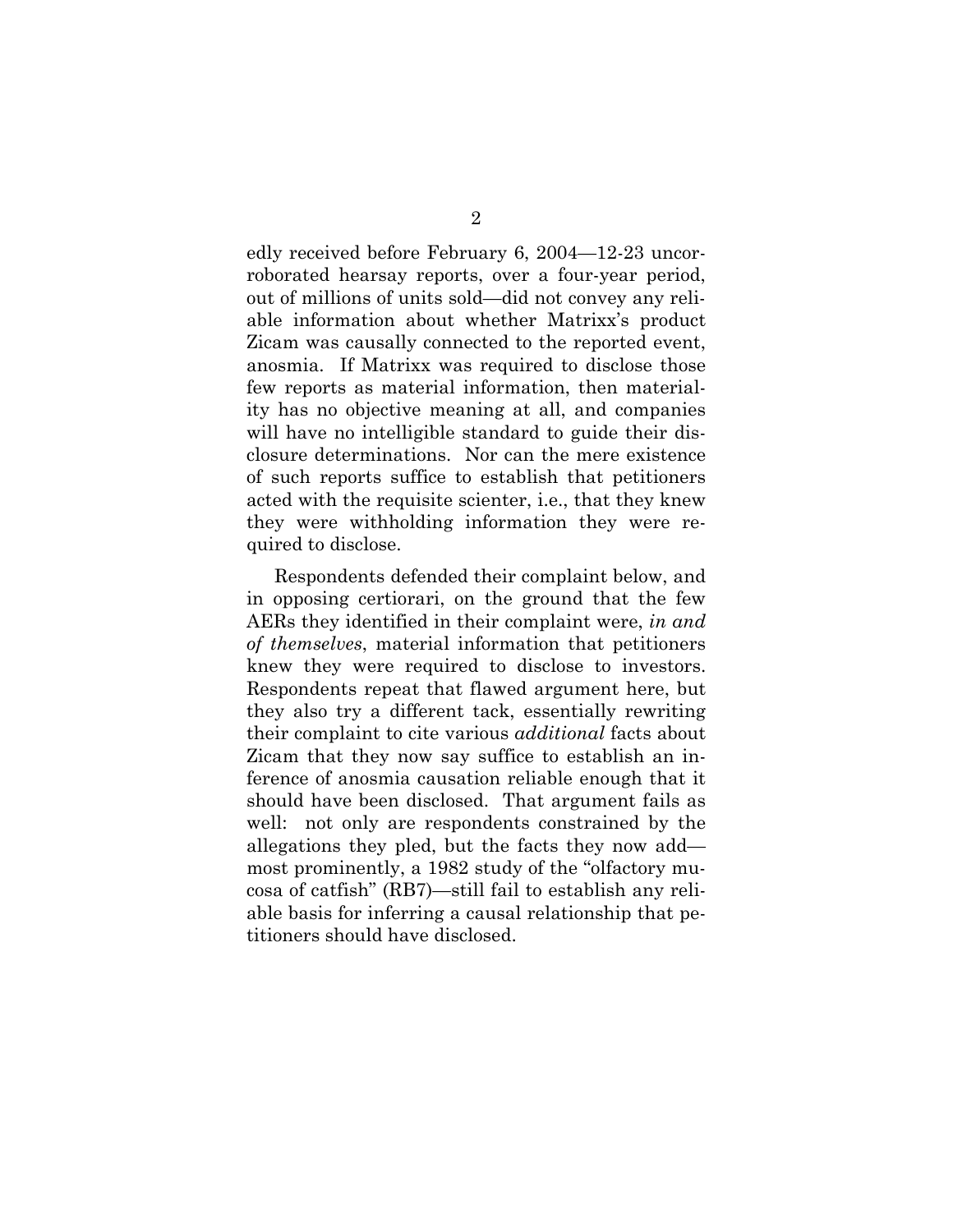edly received before February 6, 2004—12-23 uncorroborated hearsay reports, over a four-year period, out of millions of units sold—did not convey any reliable information about whether Matrixx's product Zicam was causally connected to the reported event, anosmia. If Matrixx was required to disclose those few reports as material information, then materiality has no objective meaning at all, and companies will have no intelligible standard to guide their disclosure determinations. Nor can the mere existence of such reports suffice to establish that petitioners acted with the requisite scienter, i.e., that they knew they were withholding information they were required to disclose.

Respondents defended their complaint below, and in opposing certiorari, on the ground that the few AERs they identified in their complaint were, *in and of themselves*, material information that petitioners knew they were required to disclose to investors. Respondents repeat that flawed argument here, but they also try a different tack, essentially rewriting their complaint to cite various *additional* facts about Zicam that they now say suffice to establish an inference of anosmia causation reliable enough that it should have been disclosed. That argument fails as well: not only are respondents constrained by the allegations they pled, but the facts they now add most prominently, a 1982 study of the "olfactory mucosa of catfish" (RB7)—still fail to establish any reliable basis for inferring a causal relationship that petitioners should have disclosed.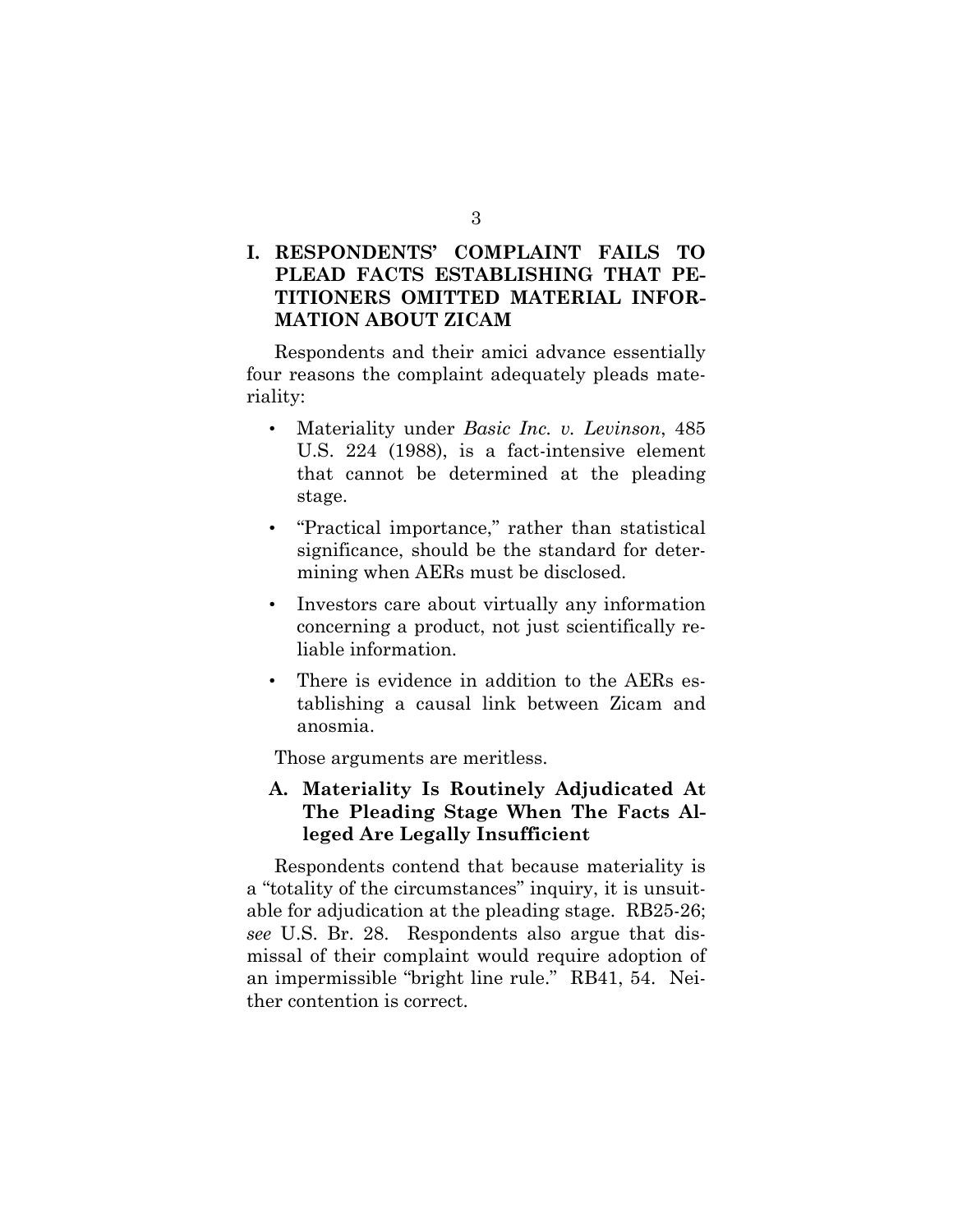### **I. RESPONDENTS' COMPLAINT FAILS TO PLEAD FACTS ESTABLISHING THAT PE-TITIONERS OMITTED MATERIAL INFOR-MATION ABOUT ZICAM**

Respondents and their amici advance essentially four reasons the complaint adequately pleads materiality:

- Materiality under *Basic Inc. v. Levinson*, 485 U.S. 224 (1988), is a fact-intensive element that cannot be determined at the pleading stage.
- "Practical importance," rather than statistical significance, should be the standard for determining when AERs must be disclosed.
- Investors care about virtually any information concerning a product, not just scientifically reliable information.
- There is evidence in addition to the AERs establishing a causal link between Zicam and anosmia.

Those arguments are meritless.

### **A. Materiality Is Routinely Adjudicated At The Pleading Stage When The Facts Alleged Are Legally Insufficient**

Respondents contend that because materiality is a "totality of the circumstances" inquiry, it is unsuitable for adjudication at the pleading stage. RB25-26; *see* U.S. Br. 28. Respondents also argue that dismissal of their complaint would require adoption of an impermissible "bright line rule." RB41, 54. Neither contention is correct.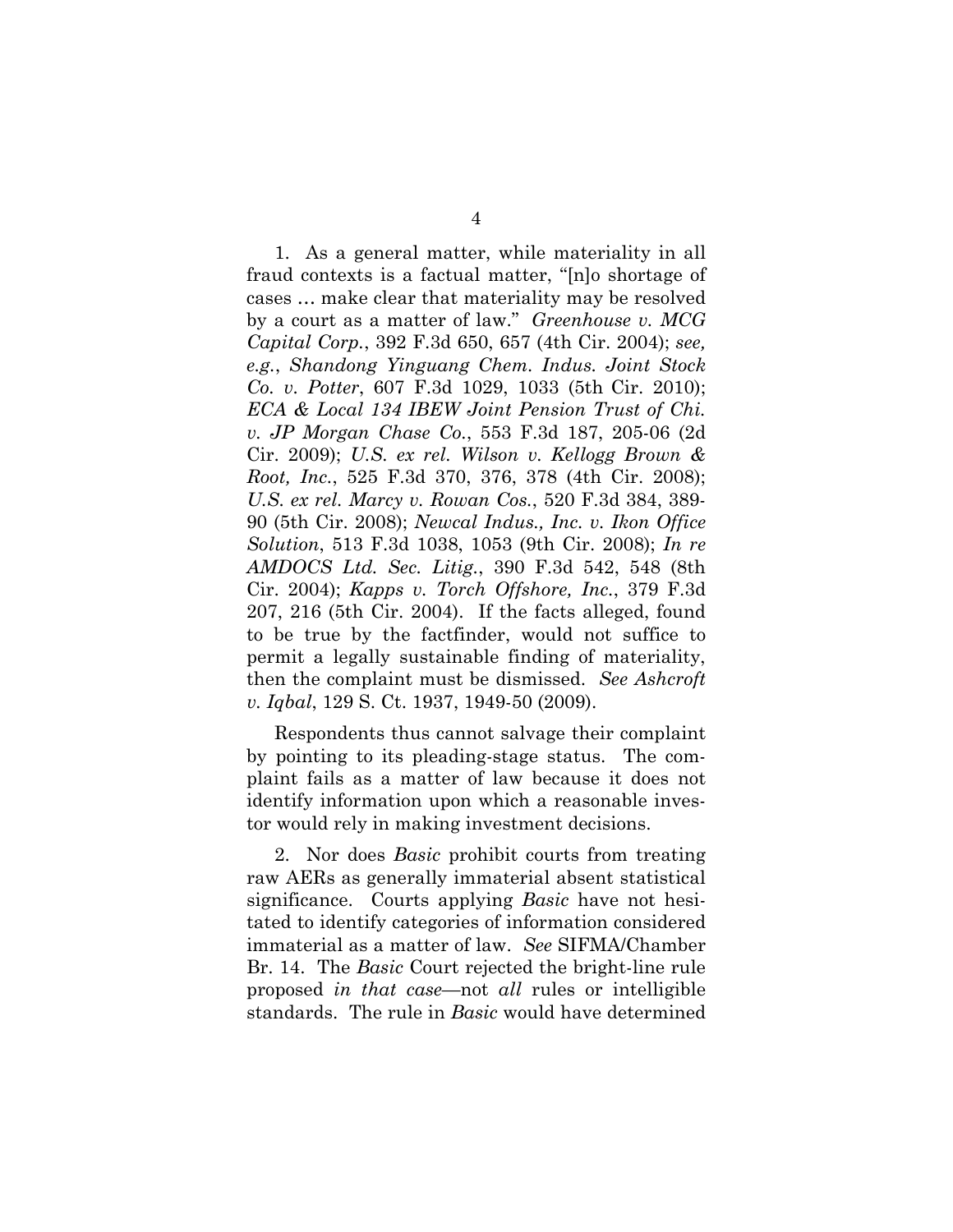1. As a general matter, while materiality in all fraud contexts is a factual matter, "[n]o shortage of cases … make clear that materiality may be resolved by a court as a matter of law." *Greenhouse v. MCG Capital Corp.*, 392 F.3d 650, 657 (4th Cir. 2004); *see, e.g.*, *Shandong Yinguang Chem. Indus. Joint Stock Co. v. Potter*, 607 F.3d 1029, 1033 (5th Cir. 2010); *ECA & Local 134 IBEW Joint Pension Trust of Chi. v. JP Morgan Chase Co.*, 553 F.3d 187, 205-06 (2d Cir. 2009); *U.S. ex rel. Wilson v. Kellogg Brown & Root, Inc.*, 525 F.3d 370, 376, 378 (4th Cir. 2008); *U.S. ex rel. Marcy v. Rowan Cos.*, 520 F.3d 384, 389- 90 (5th Cir. 2008); *Newcal Indus., Inc. v. Ikon Office Solution*, 513 F.3d 1038, 1053 (9th Cir. 2008); *In re AMDOCS Ltd. Sec. Litig.*, 390 F.3d 542, 548 (8th Cir. 2004); *Kapps v. Torch Offshore, Inc.*, 379 F.3d 207, 216 (5th Cir. 2004). If the facts alleged, found to be true by the factfinder, would not suffice to permit a legally sustainable finding of materiality, then the complaint must be dismissed. *See Ashcroft v. Iqbal*, 129 S. Ct. 1937, 1949-50 (2009).

Respondents thus cannot salvage their complaint by pointing to its pleading-stage status. The complaint fails as a matter of law because it does not identify information upon which a reasonable investor would rely in making investment decisions.

2. Nor does *Basic* prohibit courts from treating raw AERs as generally immaterial absent statistical significance. Courts applying *Basic* have not hesitated to identify categories of information considered immaterial as a matter of law. *See* SIFMA/Chamber Br. 14. The *Basic* Court rejected the bright-line rule proposed *in that case*—not *all* rules or intelligible standards. The rule in *Basic* would have determined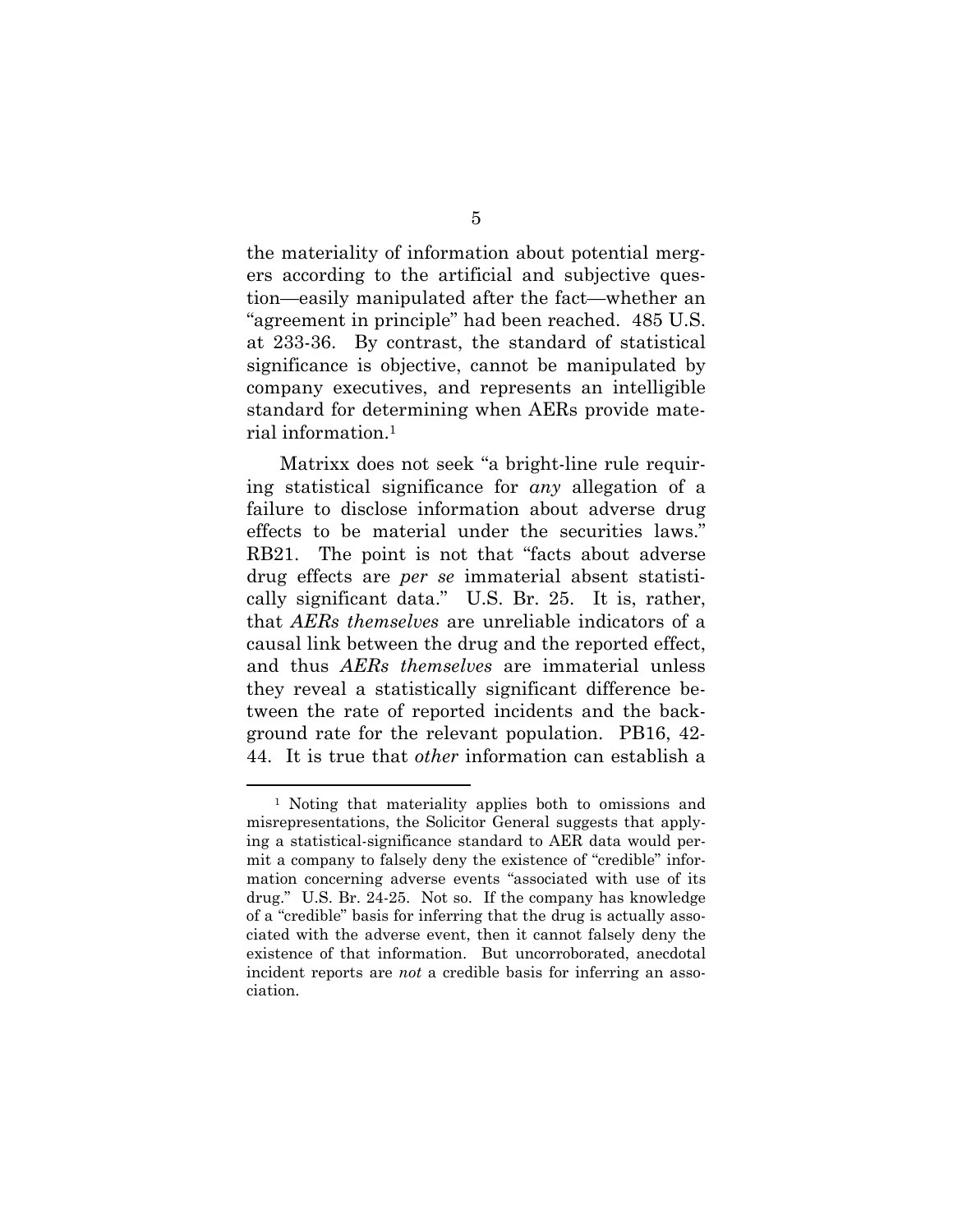the materiality of information about potential mergers according to the artificial and subjective question—easily manipulated after the fact—whether an "agreement in principle" had been reached. 485 U.S. at 233-36. By contrast, the standard of statistical significance is objective, cannot be manipulated by company executives, and represents an intelligible standard for determining when AERs provide material information.1

Matrixx does not seek "a bright-line rule requiring statistical significance for *any* allegation of a failure to disclose information about adverse drug effects to be material under the securities laws." RB21. The point is not that "facts about adverse drug effects are *per se* immaterial absent statistically significant data." U.S. Br. 25. It is, rather, that *AERs themselves* are unreliable indicators of a causal link between the drug and the reported effect, and thus *AERs themselves* are immaterial unless they reveal a statistically significant difference between the rate of reported incidents and the background rate for the relevant population. PB16, 42- 44. It is true that *other* information can establish a

<sup>1</sup> Noting that materiality applies both to omissions and misrepresentations, the Solicitor General suggests that applying a statistical-significance standard to AER data would permit a company to falsely deny the existence of "credible" information concerning adverse events "associated with use of its drug." U.S. Br. 24-25. Not so. If the company has knowledge of a "credible" basis for inferring that the drug is actually associated with the adverse event, then it cannot falsely deny the existence of that information. But uncorroborated, anecdotal incident reports are *not* a credible basis for inferring an association.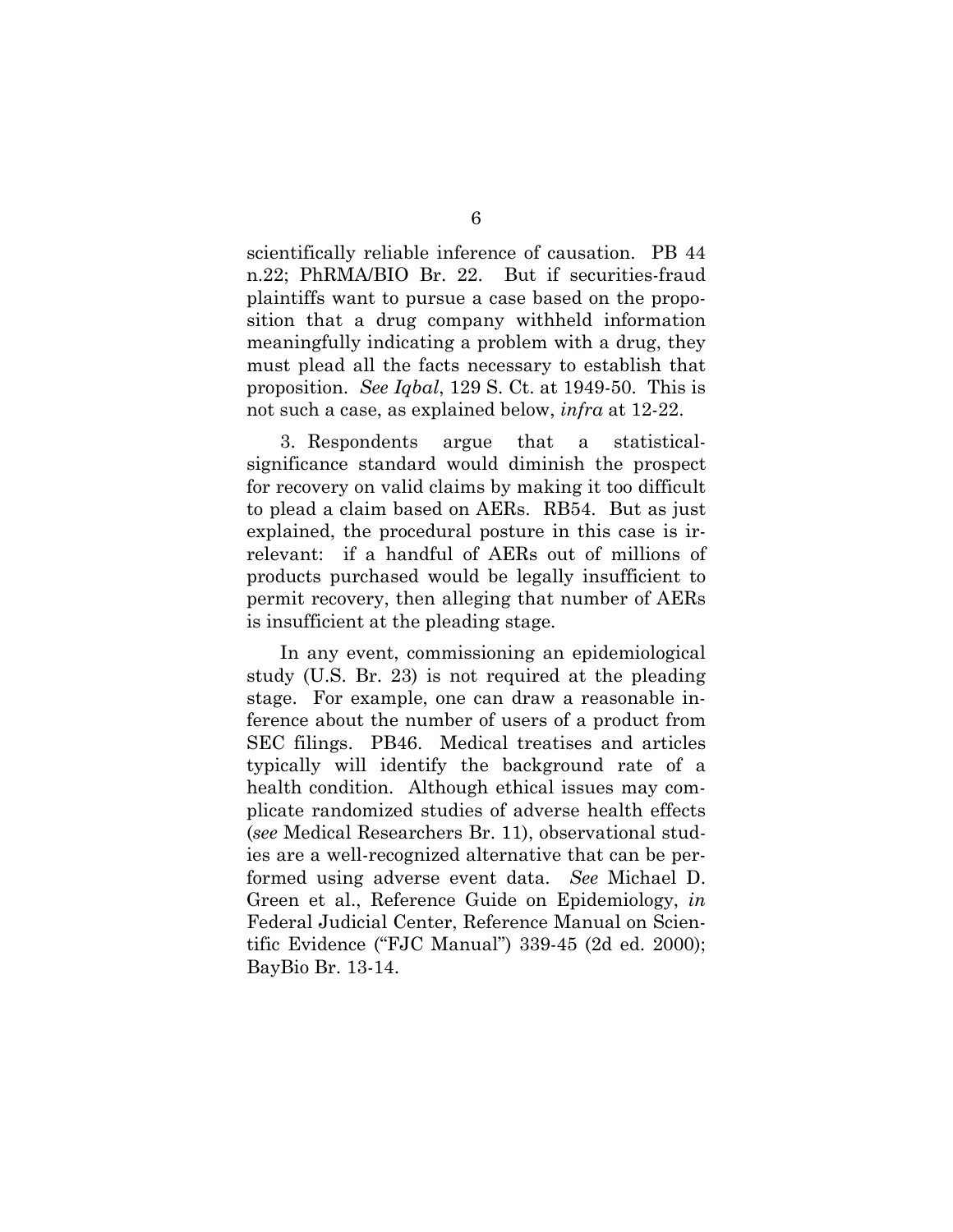scientifically reliable inference of causation. PB 44 n.22; PhRMA/BIO Br. 22. But if securities-fraud plaintiffs want to pursue a case based on the proposition that a drug company withheld information meaningfully indicating a problem with a drug, they must plead all the facts necessary to establish that proposition. *See Iqbal*, 129 S. Ct. at 1949-50. This is not such a case, as explained below, *infra* at 12-22.

3. Respondents argue that a statisticalsignificance standard would diminish the prospect for recovery on valid claims by making it too difficult to plead a claim based on AERs. RB54. But as just explained, the procedural posture in this case is irrelevant: if a handful of AERs out of millions of products purchased would be legally insufficient to permit recovery, then alleging that number of AERs is insufficient at the pleading stage.

In any event, commissioning an epidemiological study (U.S. Br. 23) is not required at the pleading stage. For example, one can draw a reasonable inference about the number of users of a product from SEC filings. PB46. Medical treatises and articles typically will identify the background rate of a health condition. Although ethical issues may complicate randomized studies of adverse health effects (*see* Medical Researchers Br. 11), observational studies are a well-recognized alternative that can be performed using adverse event data. *See* Michael D. Green et al., Reference Guide on Epidemiology, *in* Federal Judicial Center, Reference Manual on Scientific Evidence ("FJC Manual") 339-45 (2d ed. 2000); BayBio Br. 13-14.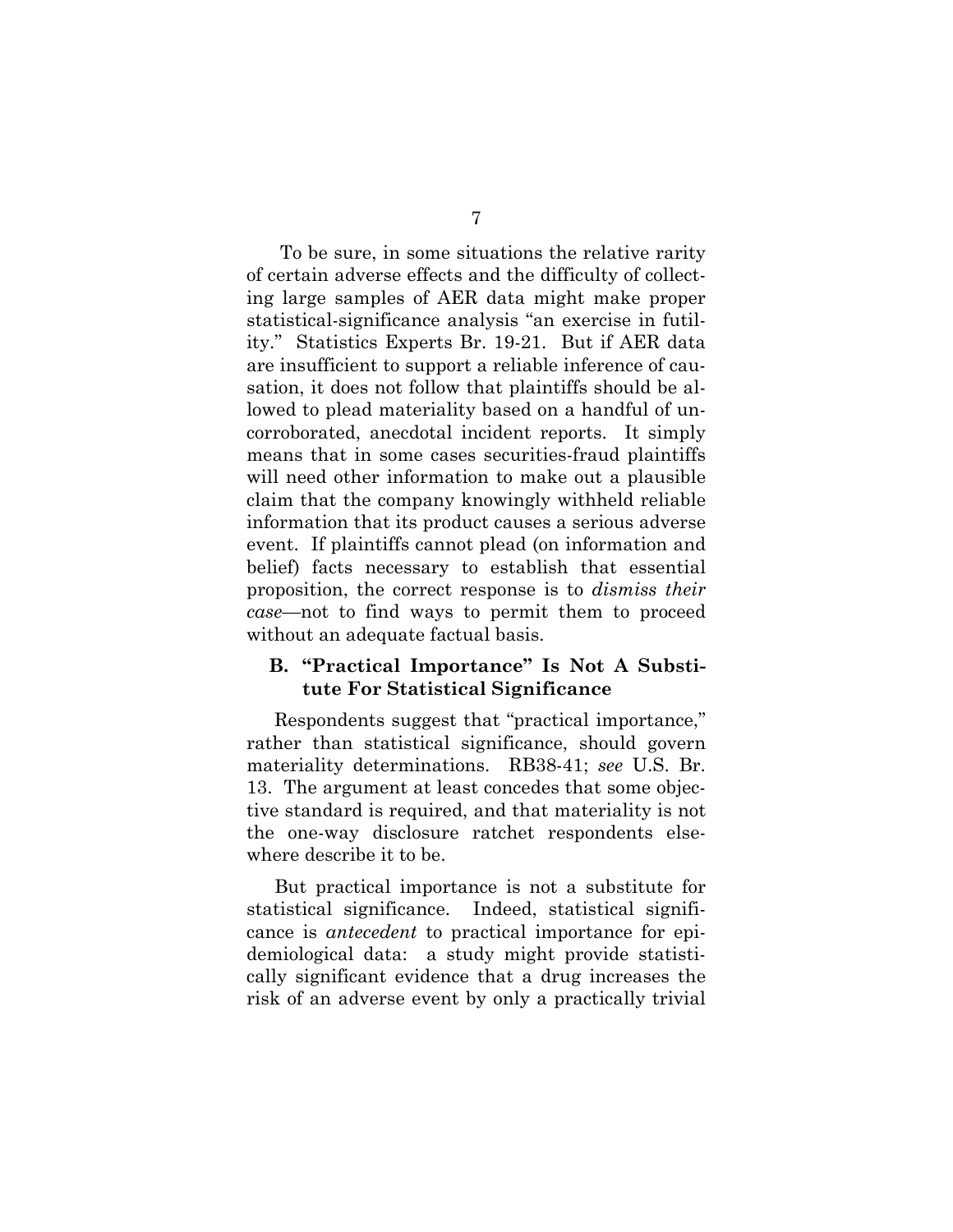To be sure, in some situations the relative rarity of certain adverse effects and the difficulty of collecting large samples of AER data might make proper statistical-significance analysis "an exercise in futility." Statistics Experts Br. 19-21. But if AER data are insufficient to support a reliable inference of causation, it does not follow that plaintiffs should be allowed to plead materiality based on a handful of uncorroborated, anecdotal incident reports. It simply means that in some cases securities-fraud plaintiffs will need other information to make out a plausible claim that the company knowingly withheld reliable information that its product causes a serious adverse event. If plaintiffs cannot plead (on information and belief) facts necessary to establish that essential proposition, the correct response is to *dismiss their case*—not to find ways to permit them to proceed without an adequate factual basis.

#### **B. "Practical Importance" Is Not A Substitute For Statistical Significance**

Respondents suggest that "practical importance," rather than statistical significance, should govern materiality determinations. RB38-41; *see* U.S. Br. 13. The argument at least concedes that some objective standard is required, and that materiality is not the one-way disclosure ratchet respondents elsewhere describe it to be.

But practical importance is not a substitute for statistical significance. Indeed, statistical significance is *antecedent* to practical importance for epidemiological data: a study might provide statistically significant evidence that a drug increases the risk of an adverse event by only a practically trivial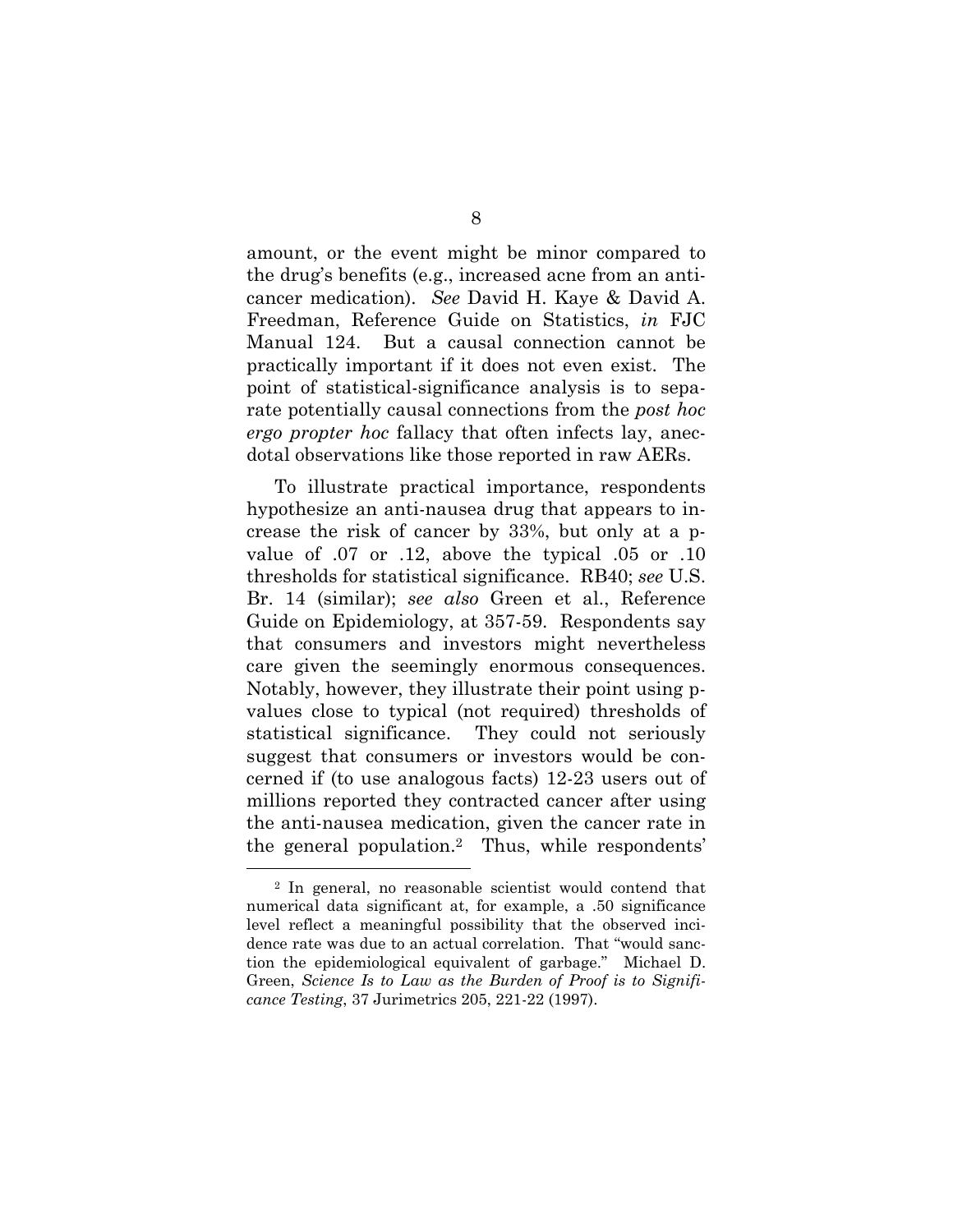amount, or the event might be minor compared to the drug's benefits (e.g., increased acne from an anticancer medication). *See* David H. Kaye & David A. Freedman, Reference Guide on Statistics, *in* FJC Manual 124. But a causal connection cannot be practically important if it does not even exist. The point of statistical-significance analysis is to separate potentially causal connections from the *post hoc ergo propter hoc* fallacy that often infects lay, anecdotal observations like those reported in raw AERs.

To illustrate practical importance, respondents hypothesize an anti-nausea drug that appears to increase the risk of cancer by 33%, but only at a pvalue of .07 or .12, above the typical .05 or .10 thresholds for statistical significance. RB40; *see* U.S. Br. 14 (similar); *see also* Green et al., Reference Guide on Epidemiology, at 357-59. Respondents say that consumers and investors might nevertheless care given the seemingly enormous consequences. Notably, however, they illustrate their point using pvalues close to typical (not required) thresholds of statistical significance. They could not seriously suggest that consumers or investors would be concerned if (to use analogous facts) 12-23 users out of millions reported they contracted cancer after using the anti-nausea medication, given the cancer rate in the general population.2 Thus, while respondents'

<sup>2</sup> In general, no reasonable scientist would contend that numerical data significant at, for example, a .50 significance level reflect a meaningful possibility that the observed incidence rate was due to an actual correlation. That "would sanction the epidemiological equivalent of garbage." Michael D. Green, *Science Is to Law as the Burden of Proof is to Significance Testing*, 37 Jurimetrics 205, 221-22 (1997).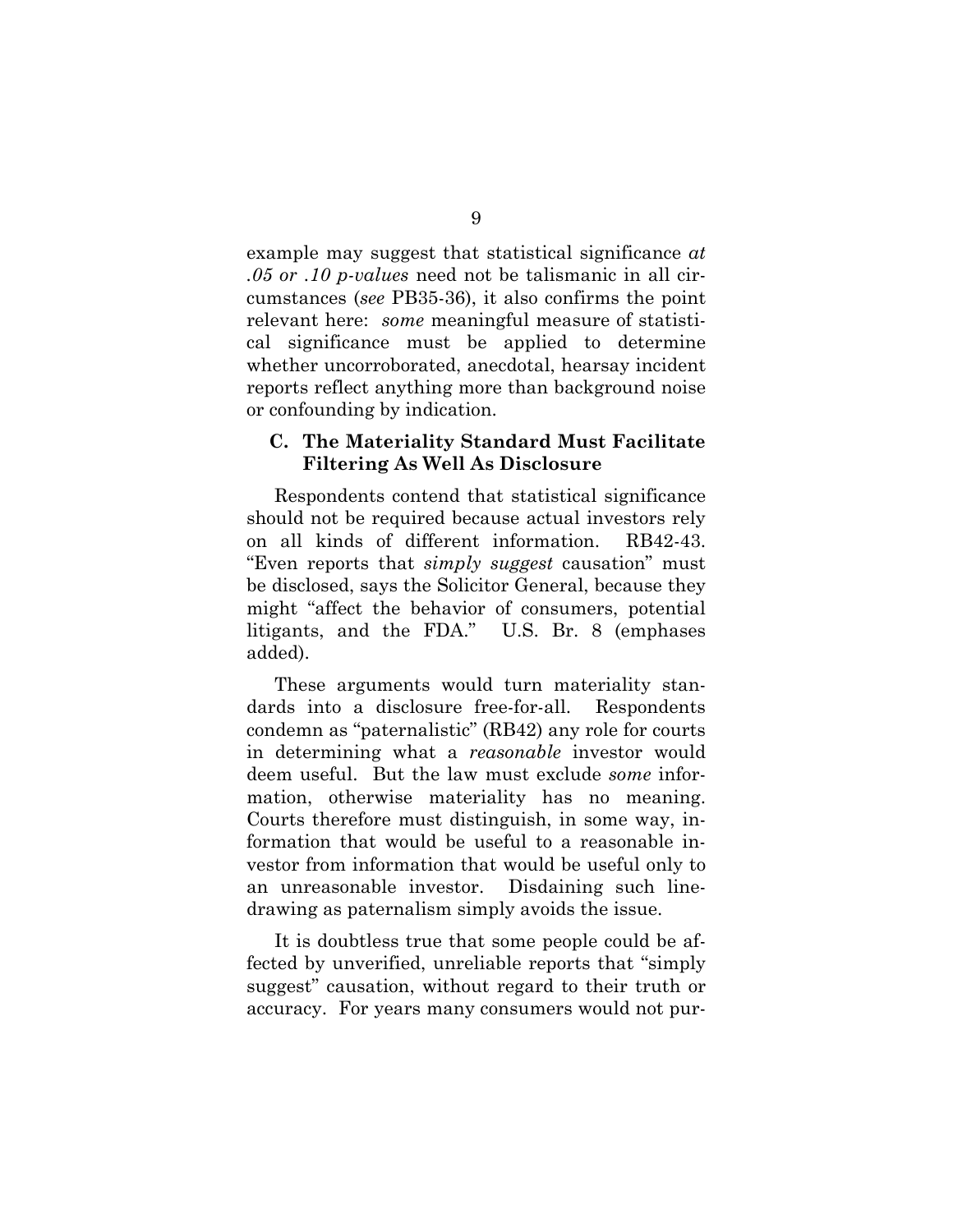example may suggest that statistical significance *at .05 or .10 p-values* need not be talismanic in all circumstances (*see* PB35-36), it also confirms the point relevant here: *some* meaningful measure of statistical significance must be applied to determine whether uncorroborated, anecdotal, hearsay incident reports reflect anything more than background noise or confounding by indication.

#### **C. The Materiality Standard Must Facilitate Filtering As Well As Disclosure**

Respondents contend that statistical significance should not be required because actual investors rely on all kinds of different information. RB42-43. "Even reports that *simply suggest* causation" must be disclosed, says the Solicitor General, because they might "affect the behavior of consumers, potential litigants, and the FDA." U.S. Br. 8 (emphases added).

These arguments would turn materiality standards into a disclosure free-for-all. Respondents condemn as "paternalistic" (RB42) any role for courts in determining what a *reasonable* investor would deem useful. But the law must exclude *some* information, otherwise materiality has no meaning. Courts therefore must distinguish, in some way, information that would be useful to a reasonable investor from information that would be useful only to an unreasonable investor. Disdaining such linedrawing as paternalism simply avoids the issue.

It is doubtless true that some people could be affected by unverified, unreliable reports that "simply suggest" causation, without regard to their truth or accuracy. For years many consumers would not pur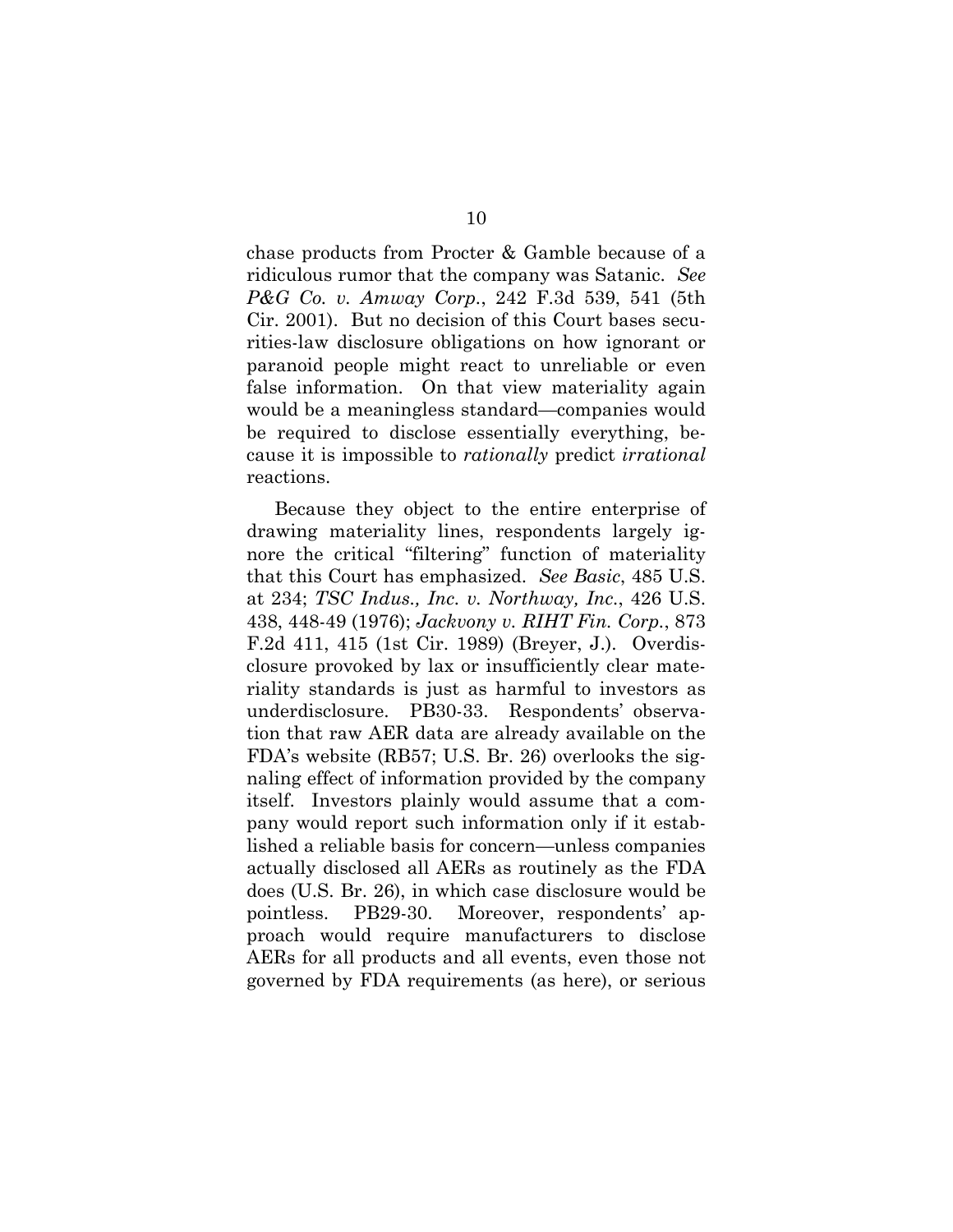chase products from Procter & Gamble because of a ridiculous rumor that the company was Satanic. *See P&G Co. v. Amway Corp.*, 242 F.3d 539, 541 (5th Cir. 2001). But no decision of this Court bases securities-law disclosure obligations on how ignorant or paranoid people might react to unreliable or even false information. On that view materiality again would be a meaningless standard—companies would be required to disclose essentially everything, because it is impossible to *rationally* predict *irrational* reactions.

Because they object to the entire enterprise of drawing materiality lines, respondents largely ignore the critical "filtering" function of materiality that this Court has emphasized. *See Basic*, 485 U.S. at 234; *TSC Indus., Inc. v. Northway, Inc.*, 426 U.S. 438, 448-49 (1976); *Jackvony v. RIHT Fin. Corp.*, 873 F.2d 411, 415 (1st Cir. 1989) (Breyer, J.). Overdisclosure provoked by lax or insufficiently clear materiality standards is just as harmful to investors as underdisclosure. PB30-33. Respondents' observation that raw AER data are already available on the FDA's website (RB57; U.S. Br. 26) overlooks the signaling effect of information provided by the company itself. Investors plainly would assume that a company would report such information only if it established a reliable basis for concern—unless companies actually disclosed all AERs as routinely as the FDA does (U.S. Br. 26), in which case disclosure would be pointless. PB29-30. Moreover, respondents' approach would require manufacturers to disclose AERs for all products and all events, even those not governed by FDA requirements (as here), or serious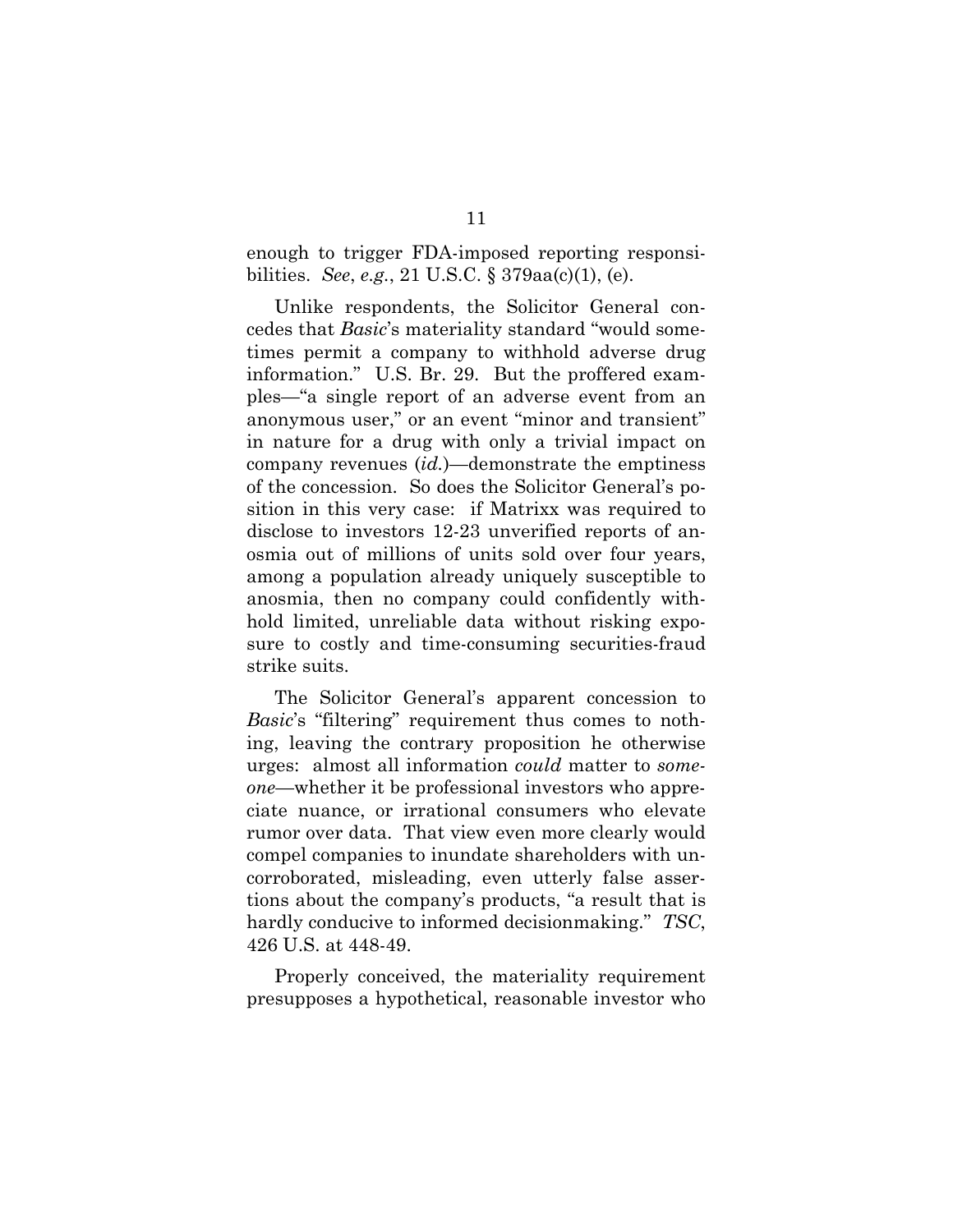enough to trigger FDA-imposed reporting responsibilities. *See*, *e.g.*, 21 U.S.C. § 379aa(c)(1), (e).

Unlike respondents, the Solicitor General concedes that *Basic*'s materiality standard "would sometimes permit a company to withhold adverse drug information." U.S. Br. 29. But the proffered examples—"a single report of an adverse event from an anonymous user," or an event "minor and transient" in nature for a drug with only a trivial impact on company revenues (*id.*)—demonstrate the emptiness of the concession. So does the Solicitor General's position in this very case: if Matrixx was required to disclose to investors 12-23 unverified reports of anosmia out of millions of units sold over four years, among a population already uniquely susceptible to anosmia, then no company could confidently withhold limited, unreliable data without risking exposure to costly and time-consuming securities-fraud strike suits.

The Solicitor General's apparent concession to *Basic*'s "filtering" requirement thus comes to nothing, leaving the contrary proposition he otherwise urges: almost all information *could* matter to *someone*—whether it be professional investors who appreciate nuance, or irrational consumers who elevate rumor over data. That view even more clearly would compel companies to inundate shareholders with uncorroborated, misleading, even utterly false assertions about the company's products, "a result that is hardly conducive to informed decisionmaking." *TSC*, 426 U.S. at 448-49.

Properly conceived, the materiality requirement presupposes a hypothetical, reasonable investor who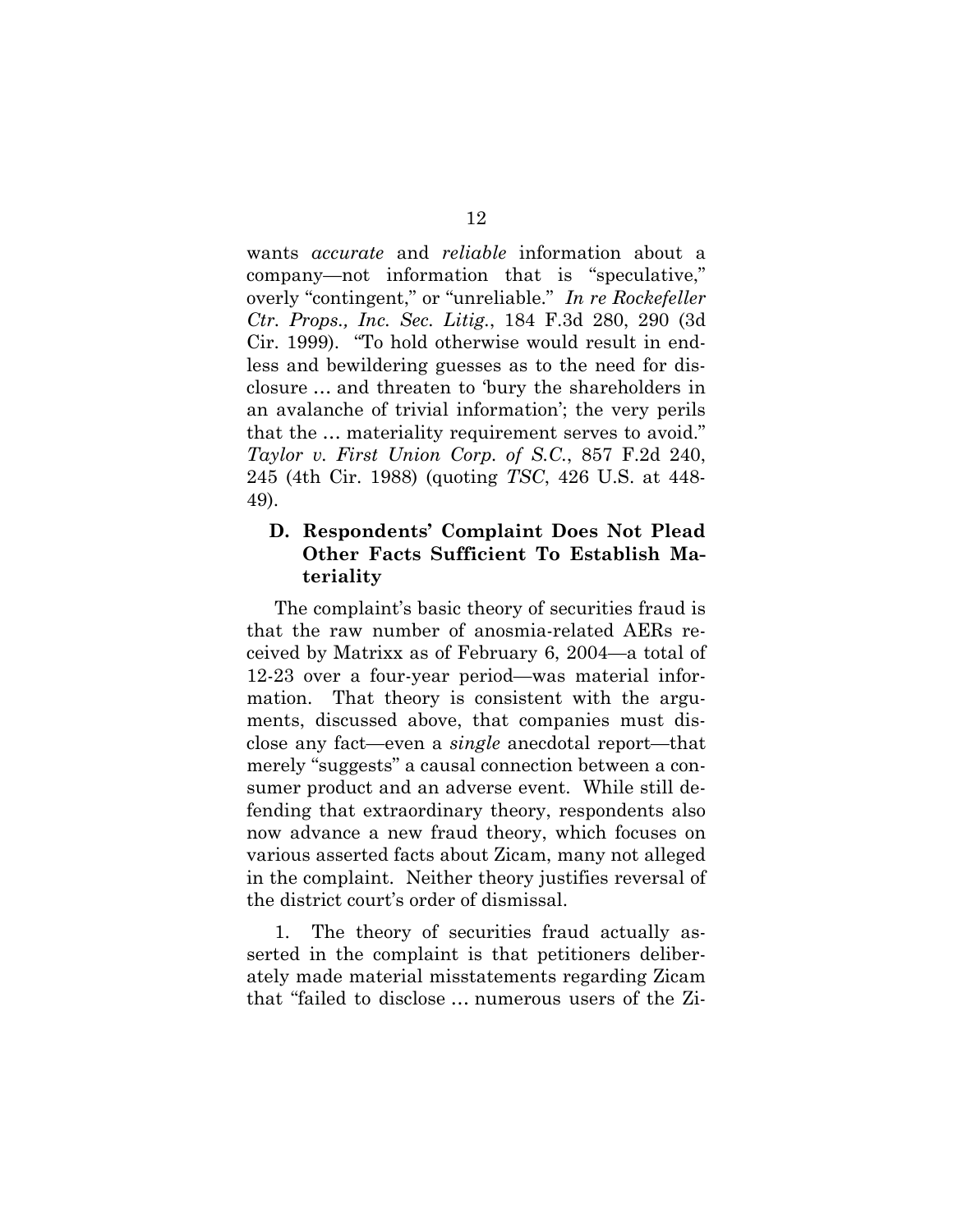wants *accurate* and *reliable* information about a company—not information that is "speculative," overly "contingent," or "unreliable." *In re Rockefeller Ctr. Props., Inc. Sec. Litig.*, 184 F.3d 280, 290 (3d Cir. 1999). "To hold otherwise would result in endless and bewildering guesses as to the need for disclosure … and threaten to 'bury the shareholders in an avalanche of trivial information'; the very perils that the … materiality requirement serves to avoid." *Taylor v. First Union Corp. of S.C.*, 857 F.2d 240, 245 (4th Cir. 1988) (quoting *TSC*, 426 U.S. at 448- 49).

### **D. Respondents' Complaint Does Not Plead Other Facts Sufficient To Establish Materiality**

The complaint's basic theory of securities fraud is that the raw number of anosmia-related AERs received by Matrixx as of February 6, 2004—a total of 12-23 over a four-year period—was material information. That theory is consistent with the arguments, discussed above, that companies must disclose any fact—even a *single* anecdotal report—that merely "suggests" a causal connection between a consumer product and an adverse event. While still defending that extraordinary theory, respondents also now advance a new fraud theory, which focuses on various asserted facts about Zicam, many not alleged in the complaint. Neither theory justifies reversal of the district court's order of dismissal.

1. The theory of securities fraud actually asserted in the complaint is that petitioners deliberately made material misstatements regarding Zicam that "failed to disclose … numerous users of the Zi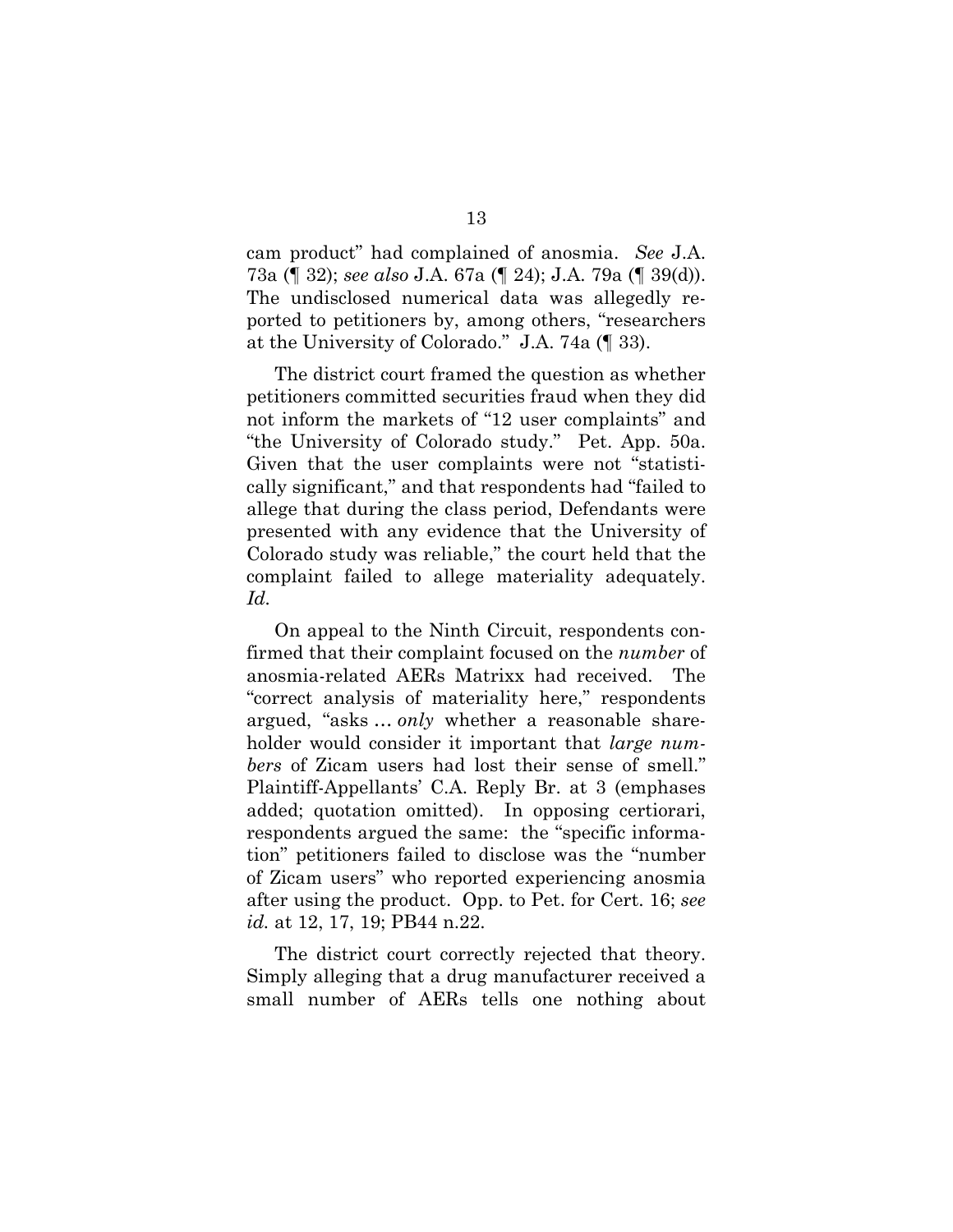cam product" had complained of anosmia. *See* J.A. 73a (¶ 32); *see also* J.A. 67a (¶ 24); J.A. 79a (¶ 39(d)). The undisclosed numerical data was allegedly reported to petitioners by, among others, "researchers at the University of Colorado." J.A. 74a (¶ 33).

The district court framed the question as whether petitioners committed securities fraud when they did not inform the markets of "12 user complaints" and "the University of Colorado study." Pet. App. 50a. Given that the user complaints were not "statistically significant," and that respondents had "failed to allege that during the class period, Defendants were presented with any evidence that the University of Colorado study was reliable," the court held that the complaint failed to allege materiality adequately. *Id.*

On appeal to the Ninth Circuit, respondents confirmed that their complaint focused on the *number* of anosmia-related AERs Matrixx had received. The "correct analysis of materiality here," respondents argued, "asks … *only* whether a reasonable shareholder would consider it important that *large numbers* of Zicam users had lost their sense of smell." Plaintiff-Appellants' C.A. Reply Br. at 3 (emphases added; quotation omitted). In opposing certiorari, respondents argued the same: the "specific information" petitioners failed to disclose was the "number of Zicam users" who reported experiencing anosmia after using the product. Opp. to Pet. for Cert. 16; *see id.* at 12, 17, 19; PB44 n.22.

The district court correctly rejected that theory. Simply alleging that a drug manufacturer received a small number of AERs tells one nothing about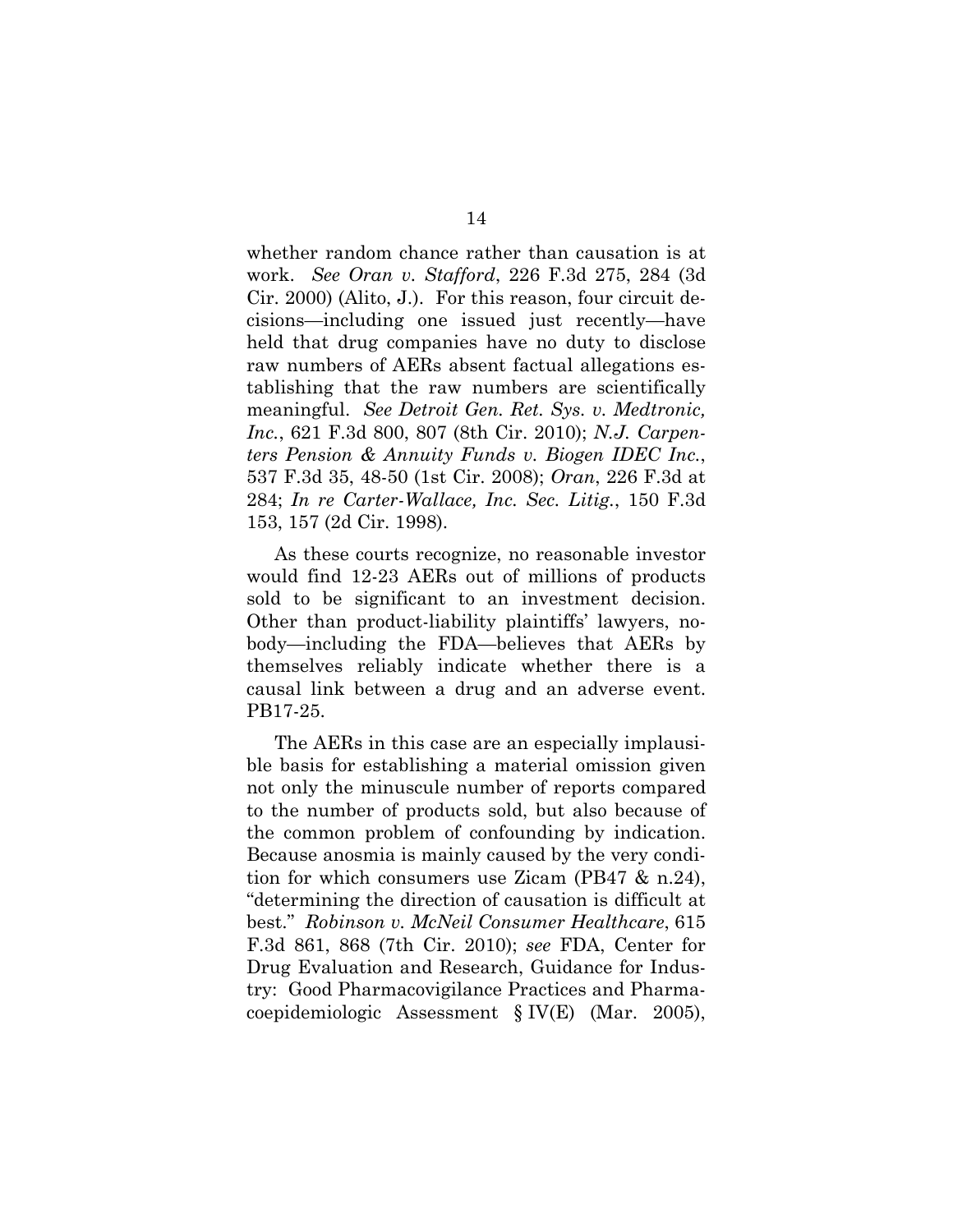whether random chance rather than causation is at work. *See Oran v. Stafford*, 226 F.3d 275, 284 (3d Cir. 2000) (Alito, J.). For this reason, four circuit decisions—including one issued just recently—have held that drug companies have no duty to disclose raw numbers of AERs absent factual allegations establishing that the raw numbers are scientifically meaningful. *See Detroit Gen. Ret. Sys. v. Medtronic, Inc.*, 621 F.3d 800, 807 (8th Cir. 2010); *N.J. Carpenters Pension & Annuity Funds v. Biogen IDEC Inc.*, 537 F.3d 35, 48-50 (1st Cir. 2008); *Oran*, 226 F.3d at 284; *In re Carter-Wallace, Inc. Sec. Litig.*, 150 F.3d 153, 157 (2d Cir. 1998).

As these courts recognize, no reasonable investor would find 12-23 AERs out of millions of products sold to be significant to an investment decision. Other than product-liability plaintiffs' lawyers, nobody—including the FDA—believes that AERs by themselves reliably indicate whether there is a causal link between a drug and an adverse event. PB17-25.

The AERs in this case are an especially implausible basis for establishing a material omission given not only the minuscule number of reports compared to the number of products sold, but also because of the common problem of confounding by indication. Because anosmia is mainly caused by the very condition for which consumers use Zicam (PB47 & n.24), "determining the direction of causation is difficult at best." *Robinson v. McNeil Consumer Healthcare*, 615 F.3d 861, 868 (7th Cir. 2010); *see* FDA, Center for Drug Evaluation and Research, Guidance for Industry: Good Pharmacovigilance Practices and Pharmacoepidemiologic Assessment § IV(E) (Mar. 2005),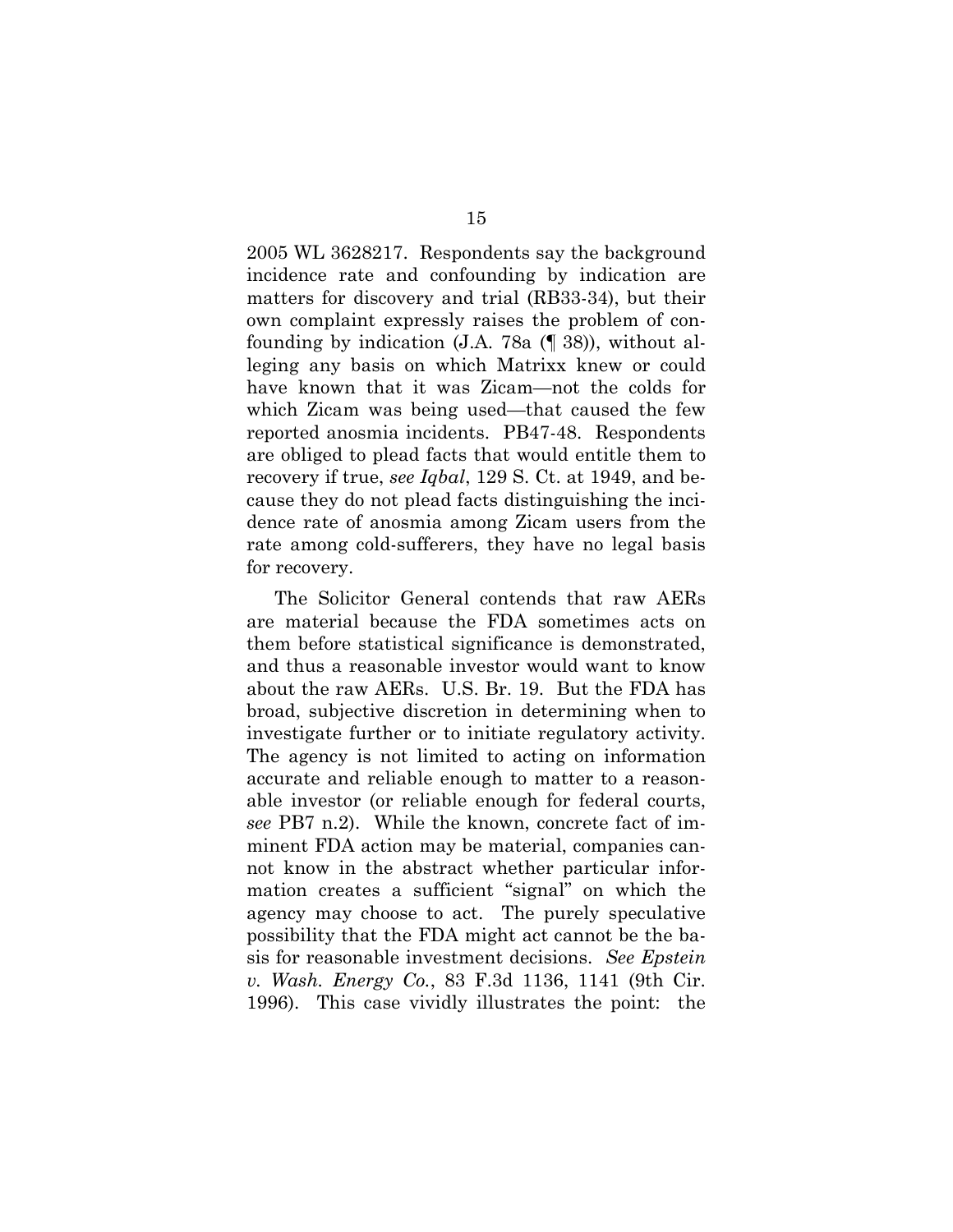2005 WL 3628217. Respondents say the background incidence rate and confounding by indication are matters for discovery and trial (RB33-34), but their own complaint expressly raises the problem of confounding by indication (J.A. 78a (¶ 38)), without alleging any basis on which Matrixx knew or could have known that it was Zicam—not the colds for which Zicam was being used—that caused the few reported anosmia incidents. PB47-48. Respondents are obliged to plead facts that would entitle them to recovery if true, *see Iqbal*, 129 S. Ct. at 1949, and because they do not plead facts distinguishing the incidence rate of anosmia among Zicam users from the rate among cold-sufferers, they have no legal basis for recovery.

The Solicitor General contends that raw AERs are material because the FDA sometimes acts on them before statistical significance is demonstrated, and thus a reasonable investor would want to know about the raw AERs. U.S. Br. 19. But the FDA has broad, subjective discretion in determining when to investigate further or to initiate regulatory activity. The agency is not limited to acting on information accurate and reliable enough to matter to a reasonable investor (or reliable enough for federal courts, *see* PB7 n.2). While the known, concrete fact of imminent FDA action may be material, companies cannot know in the abstract whether particular information creates a sufficient "signal" on which the agency may choose to act. The purely speculative possibility that the FDA might act cannot be the basis for reasonable investment decisions. *See Epstein v. Wash. Energy Co.*, 83 F.3d 1136, 1141 (9th Cir. 1996). This case vividly illustrates the point: the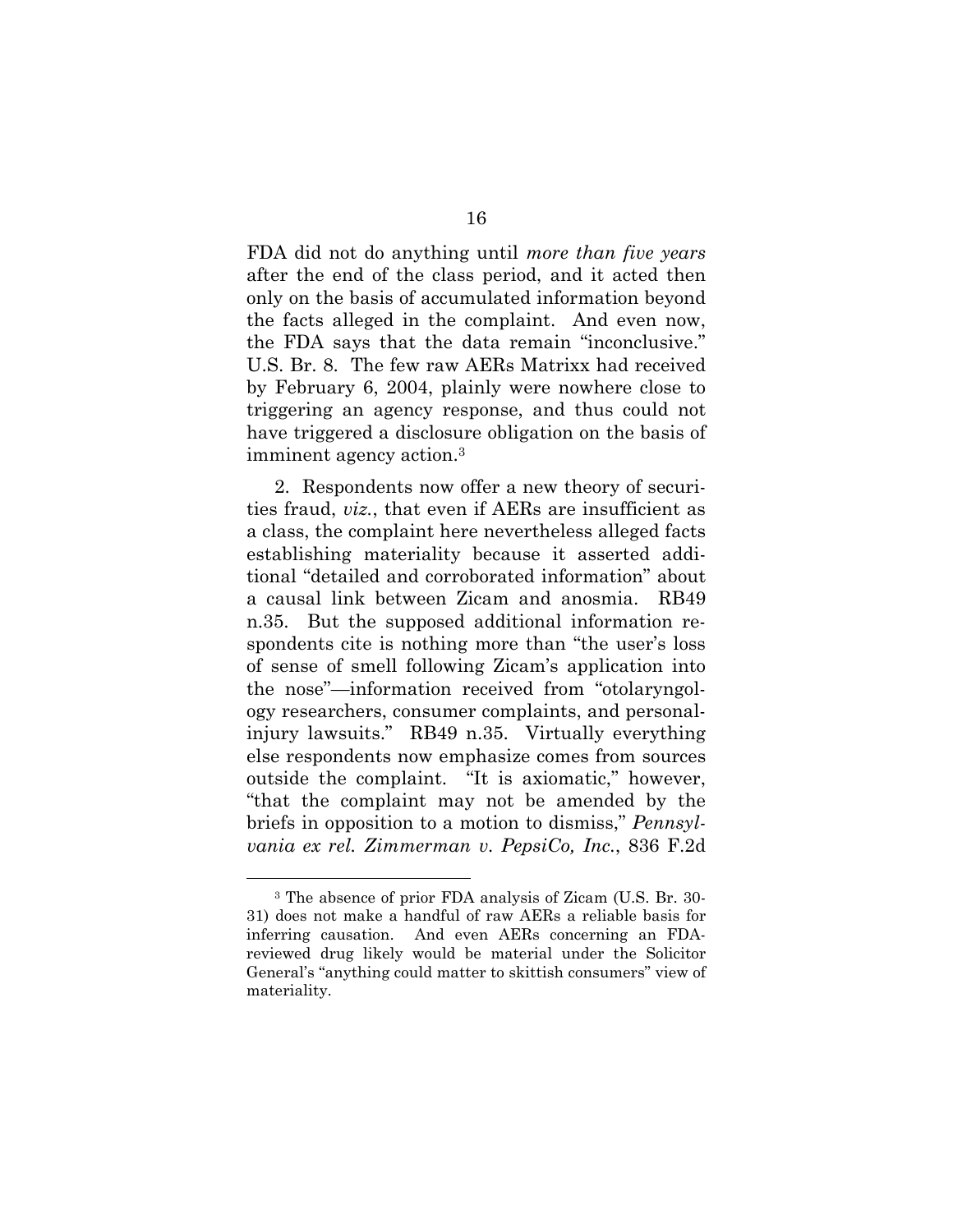FDA did not do anything until *more than five years* after the end of the class period, and it acted then only on the basis of accumulated information beyond the facts alleged in the complaint. And even now, the FDA says that the data remain "inconclusive." U.S. Br. 8. The few raw AERs Matrixx had received by February 6, 2004, plainly were nowhere close to triggering an agency response, and thus could not have triggered a disclosure obligation on the basis of imminent agency action.3

2. Respondents now offer a new theory of securities fraud, *viz.*, that even if AERs are insufficient as a class, the complaint here nevertheless alleged facts establishing materiality because it asserted additional "detailed and corroborated information" about a causal link between Zicam and anosmia. RB49 n.35. But the supposed additional information respondents cite is nothing more than "the user's loss of sense of smell following Zicam's application into the nose"—information received from "otolaryngology researchers, consumer complaints, and personalinjury lawsuits." RB49 n.35. Virtually everything else respondents now emphasize comes from sources outside the complaint. "It is axiomatic," however, "that the complaint may not be amended by the briefs in opposition to a motion to dismiss," *Pennsylvania ex rel. Zimmerman v. PepsiCo, Inc.*, 836 F.2d

<sup>3</sup> The absence of prior FDA analysis of Zicam (U.S. Br. 30- 31) does not make a handful of raw AERs a reliable basis for inferring causation. And even AERs concerning an FDAreviewed drug likely would be material under the Solicitor General's "anything could matter to skittish consumers" view of materiality.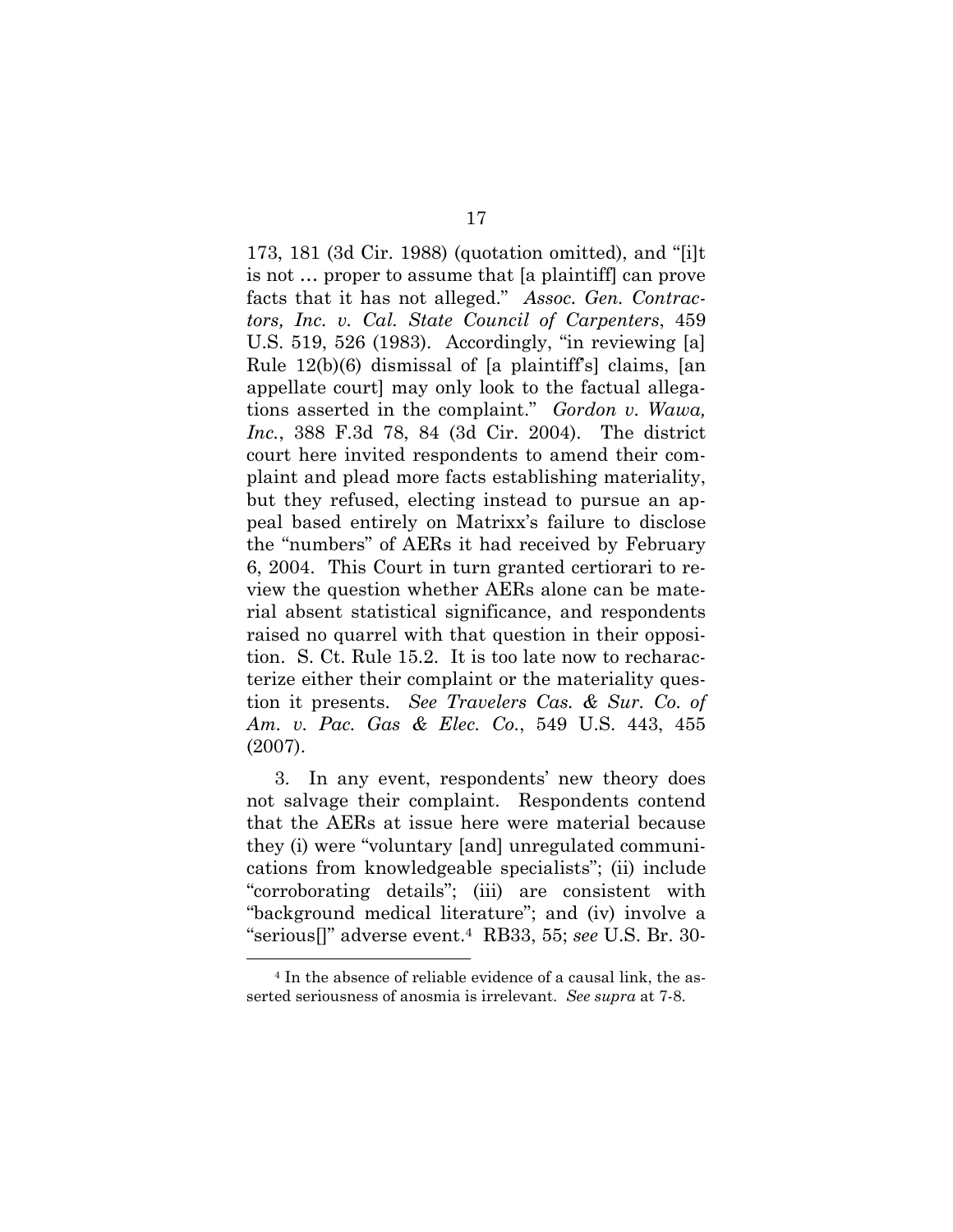173, 181 (3d Cir. 1988) (quotation omitted), and "[i]t is not … proper to assume that [a plaintiff] can prove facts that it has not alleged." *Assoc. Gen. Contractors, Inc. v. Cal. State Council of Carpenters*, 459 U.S. 519, 526 (1983). Accordingly, "in reviewing [a] Rule 12(b)(6) dismissal of [a plaintiff's] claims, [an appellate court] may only look to the factual allegations asserted in the complaint." *Gordon v. Wawa, Inc.*, 388 F.3d 78, 84 (3d Cir. 2004). The district court here invited respondents to amend their complaint and plead more facts establishing materiality, but they refused, electing instead to pursue an appeal based entirely on Matrixx's failure to disclose the "numbers" of AERs it had received by February 6, 2004. This Court in turn granted certiorari to review the question whether AERs alone can be material absent statistical significance, and respondents raised no quarrel with that question in their opposition. S. Ct. Rule 15.2. It is too late now to recharacterize either their complaint or the materiality question it presents. *See Travelers Cas. & Sur. Co. of Am. v. Pac. Gas & Elec. Co.*, 549 U.S. 443, 455 (2007).

3. In any event, respondents' new theory does not salvage their complaint. Respondents contend that the AERs at issue here were material because they (i) were "voluntary [and] unregulated communications from knowledgeable specialists"; (ii) include "corroborating details"; (iii) are consistent with "background medical literature"; and (iv) involve a "serious[]" adverse event.4 RB33, 55; *see* U.S. Br. 30-

<sup>4</sup> In the absence of reliable evidence of a causal link, the asserted seriousness of anosmia is irrelevant. *See supra* at 7-8.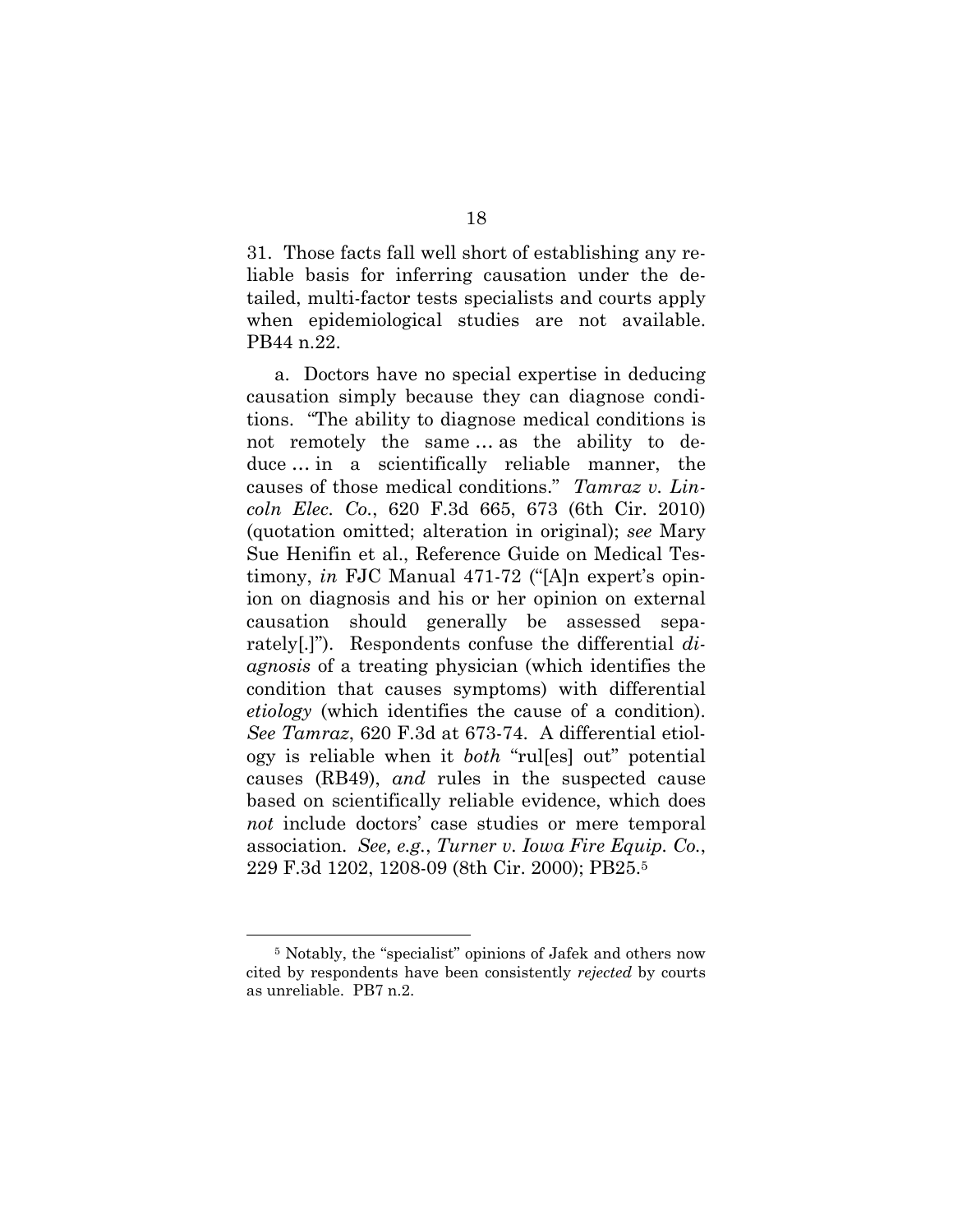31. Those facts fall well short of establishing any reliable basis for inferring causation under the detailed, multi-factor tests specialists and courts apply when epidemiological studies are not available. PB44 n.22.

a. Doctors have no special expertise in deducing causation simply because they can diagnose conditions. "The ability to diagnose medical conditions is not remotely the same … as the ability to deduce … in a scientifically reliable manner, the causes of those medical conditions." *Tamraz v. Lincoln Elec. Co.*, 620 F.3d 665, 673 (6th Cir. 2010) (quotation omitted; alteration in original); *see* Mary Sue Henifin et al., Reference Guide on Medical Testimony, *in* FJC Manual 471-72 ("[A]n expert's opinion on diagnosis and his or her opinion on external causation should generally be assessed separately[.]"). Respondents confuse the differential *diagnosis* of a treating physician (which identifies the condition that causes symptoms) with differential *etiology* (which identifies the cause of a condition). *See Tamraz*, 620 F.3d at 673-74. A differential etiology is reliable when it *both* "rul[es] out" potential causes (RB49), *and* rules in the suspected cause based on scientifically reliable evidence, which does *not* include doctors' case studies or mere temporal association. *See, e.g.*, *Turner v. Iowa Fire Equip. Co.*, 229 F.3d 1202, 1208-09 (8th Cir. 2000); PB25.5

<sup>5</sup> Notably, the "specialist" opinions of Jafek and others now cited by respondents have been consistently *rejected* by courts as unreliable. PB7 n.2.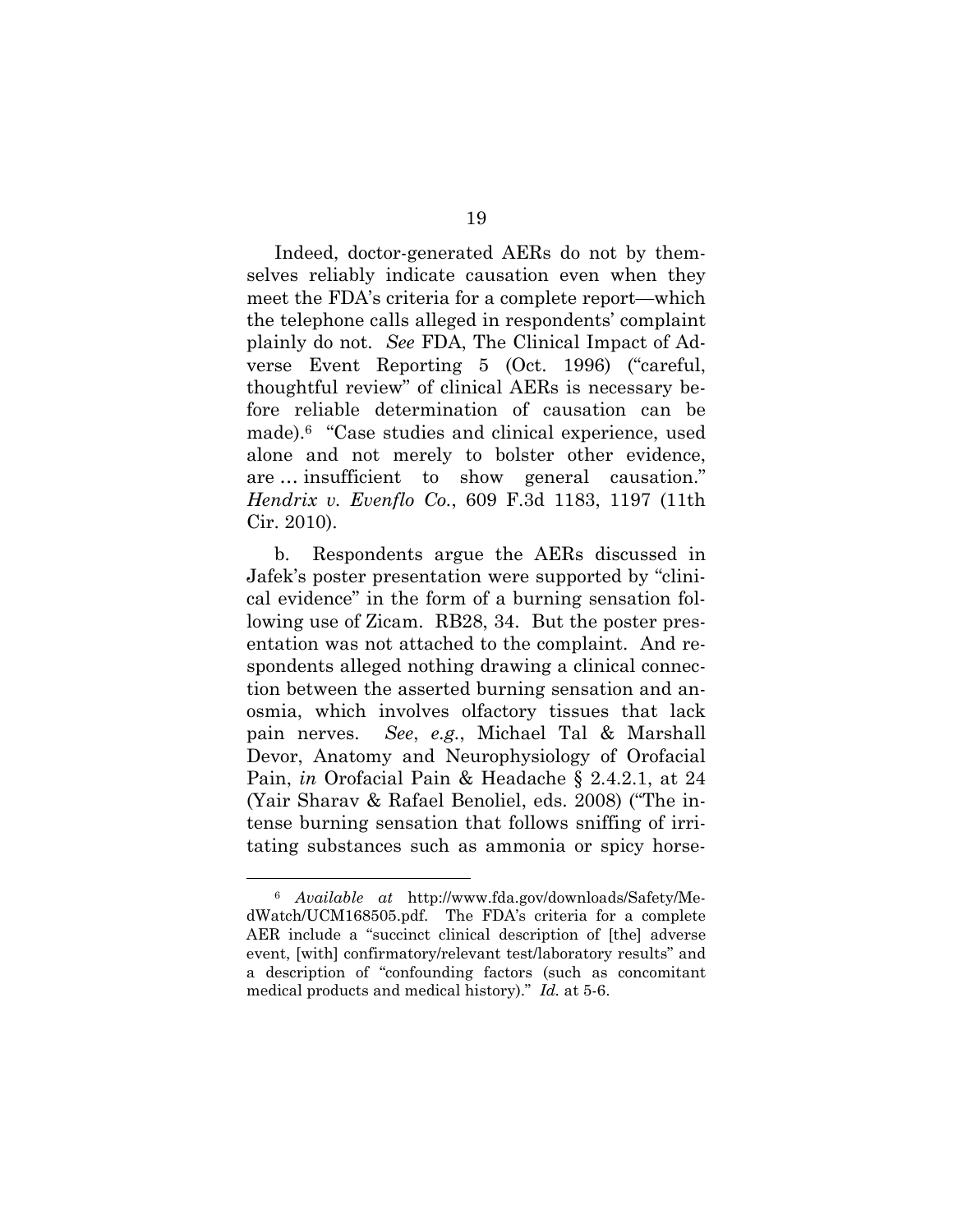Indeed, doctor-generated AERs do not by themselves reliably indicate causation even when they meet the FDA's criteria for a complete report—which the telephone calls alleged in respondents' complaint plainly do not. *See* FDA, The Clinical Impact of Adverse Event Reporting 5 (Oct. 1996) ("careful, thoughtful review" of clinical AERs is necessary before reliable determination of causation can be made).6 "Case studies and clinical experience, used alone and not merely to bolster other evidence, are … insufficient to show general causation." *Hendrix v. Evenflo Co.*, 609 F.3d 1183, 1197 (11th Cir. 2010).

b. Respondents argue the AERs discussed in Jafek's poster presentation were supported by "clinical evidence" in the form of a burning sensation following use of Zicam. RB28, 34. But the poster presentation was not attached to the complaint. And respondents alleged nothing drawing a clinical connection between the asserted burning sensation and anosmia, which involves olfactory tissues that lack pain nerves. *See*, *e.g.*, Michael Tal & Marshall Devor, Anatomy and Neurophysiology of Orofacial Pain, *in* Orofacial Pain & Headache § 2.4.2.1, at 24 (Yair Sharav & Rafael Benoliel, eds. 2008) ("The intense burning sensation that follows sniffing of irritating substances such as ammonia or spicy horse-

<sup>6</sup> *Available at* http://www.fda.gov/downloads/Safety/MedWatch/UCM168505.pdf. The FDA's criteria for a complete AER include a "succinct clinical description of [the] adverse event, [with] confirmatory/relevant test/laboratory results" and a description of "confounding factors (such as concomitant medical products and medical history)." *Id.* at 5-6.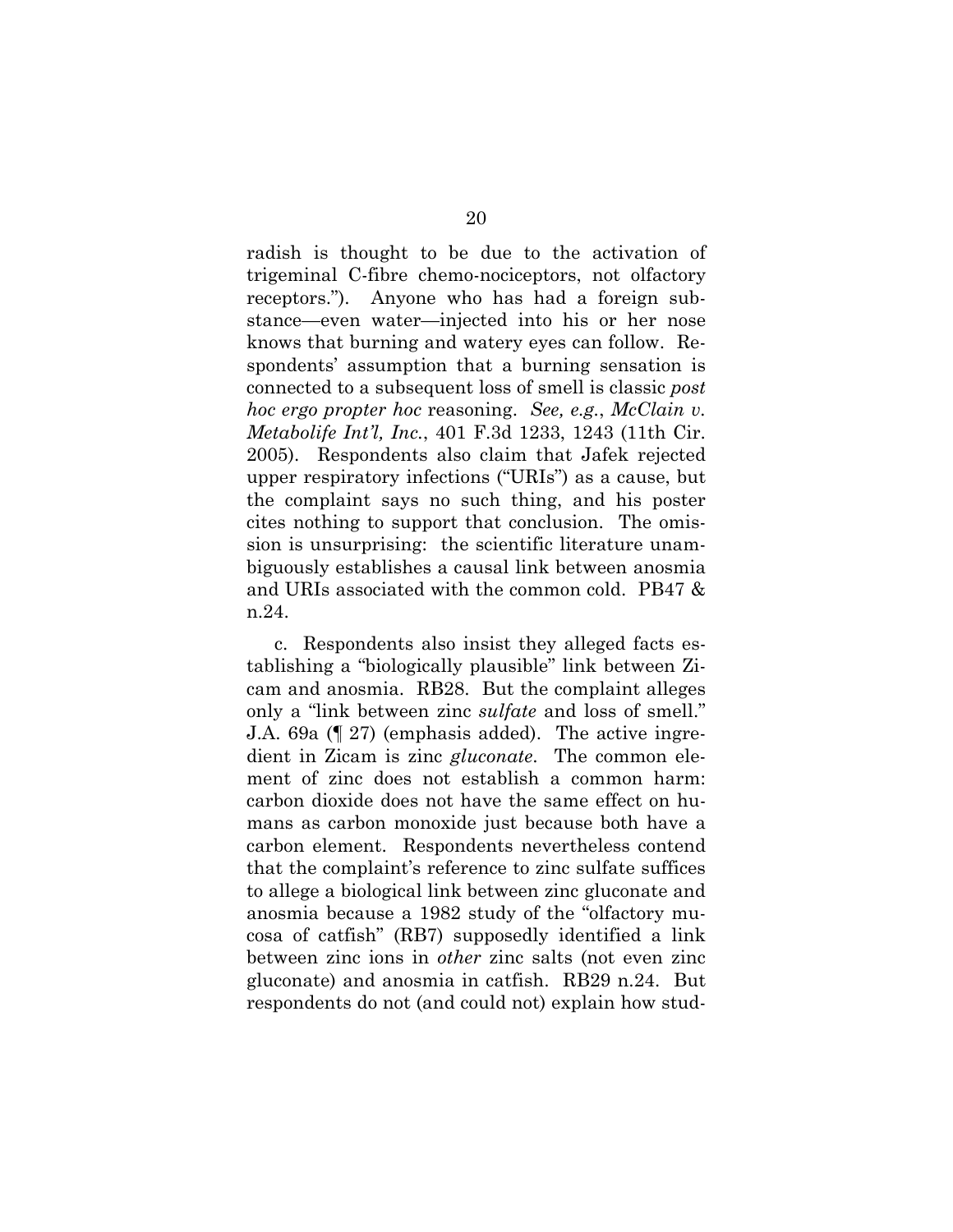radish is thought to be due to the activation of trigeminal C-fibre chemo-nociceptors, not olfactory receptors."). Anyone who has had a foreign substance—even water—injected into his or her nose knows that burning and watery eyes can follow. Respondents' assumption that a burning sensation is connected to a subsequent loss of smell is classic *post hoc ergo propter hoc* reasoning. *See, e.g.*, *McClain v. Metabolife Int'l, Inc.*, 401 F.3d 1233, 1243 (11th Cir. 2005). Respondents also claim that Jafek rejected upper respiratory infections ("URIs") as a cause, but the complaint says no such thing, and his poster cites nothing to support that conclusion. The omission is unsurprising: the scientific literature unambiguously establishes a causal link between anosmia and URIs associated with the common cold. PB47 & n.24.

c. Respondents also insist they alleged facts establishing a "biologically plausible" link between Zicam and anosmia. RB28. But the complaint alleges only a "link between zinc *sulfate* and loss of smell." J.A. 69a (¶ 27) (emphasis added). The active ingredient in Zicam is zinc *gluconate*. The common element of zinc does not establish a common harm: carbon dioxide does not have the same effect on humans as carbon monoxide just because both have a carbon element. Respondents nevertheless contend that the complaint's reference to zinc sulfate suffices to allege a biological link between zinc gluconate and anosmia because a 1982 study of the "olfactory mucosa of catfish" (RB7) supposedly identified a link between zinc ions in *other* zinc salts (not even zinc gluconate) and anosmia in catfish. RB29 n.24. But respondents do not (and could not) explain how stud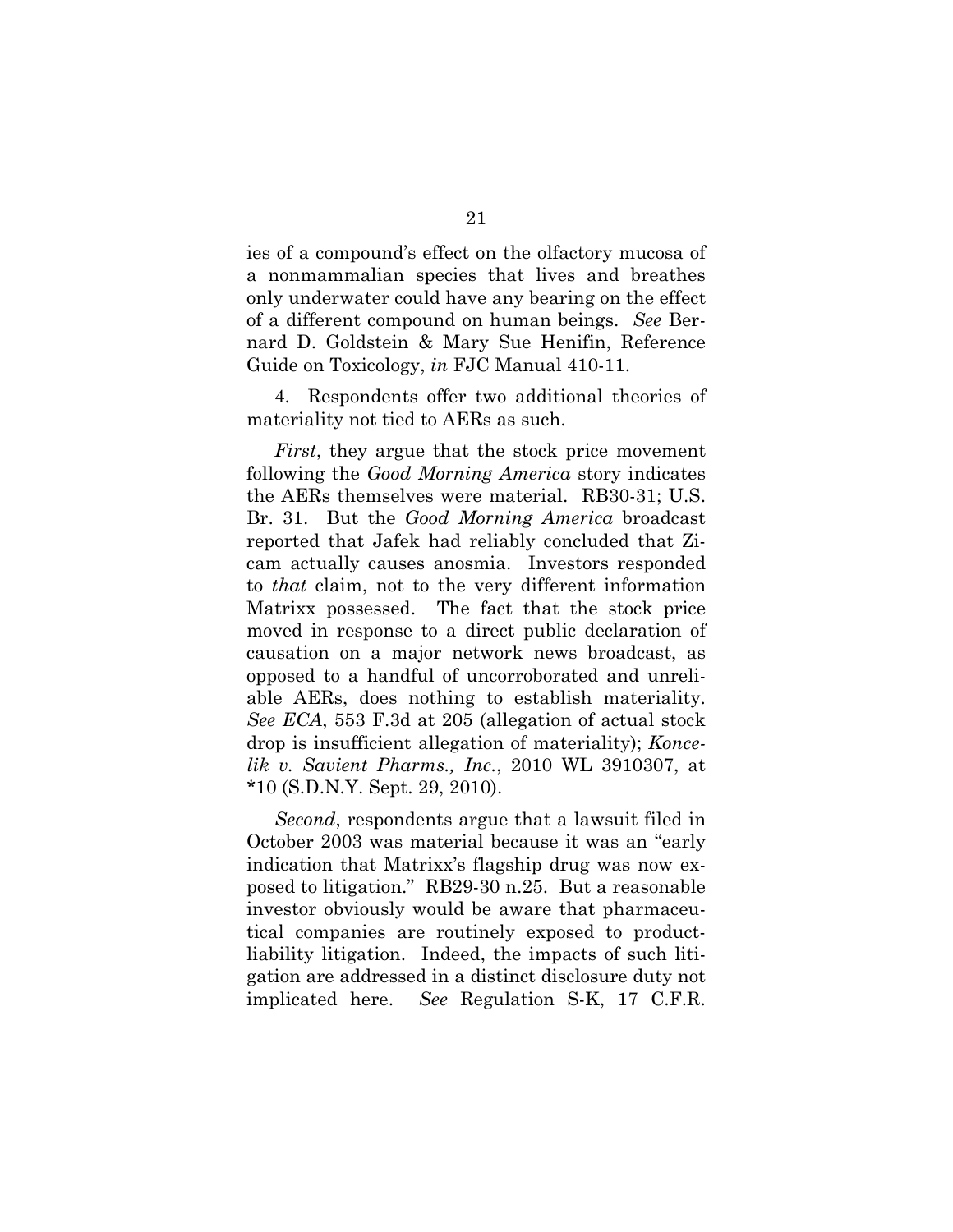ies of a compound's effect on the olfactory mucosa of a nonmammalian species that lives and breathes only underwater could have any bearing on the effect of a different compound on human beings. *See* Bernard D. Goldstein & Mary Sue Henifin, Reference Guide on Toxicology, *in* FJC Manual 410-11.

4. Respondents offer two additional theories of materiality not tied to AERs as such.

*First*, they argue that the stock price movement following the *Good Morning America* story indicates the AERs themselves were material. RB30-31; U.S. Br. 31. But the *Good Morning America* broadcast reported that Jafek had reliably concluded that Zicam actually causes anosmia. Investors responded to *that* claim, not to the very different information Matrixx possessed. The fact that the stock price moved in response to a direct public declaration of causation on a major network news broadcast, as opposed to a handful of uncorroborated and unreliable AERs, does nothing to establish materiality. *See ECA*, 553 F.3d at 205 (allegation of actual stock drop is insufficient allegation of materiality); *Koncelik v. Savient Pharms., Inc.*, 2010 WL 3910307, at \*10 (S.D.N.Y. Sept. 29, 2010).

*Second*, respondents argue that a lawsuit filed in October 2003 was material because it was an "early indication that Matrixx's flagship drug was now exposed to litigation." RB29-30 n.25. But a reasonable investor obviously would be aware that pharmaceutical companies are routinely exposed to productliability litigation. Indeed, the impacts of such litigation are addressed in a distinct disclosure duty not implicated here. *See* Regulation S-K, 17 C.F.R.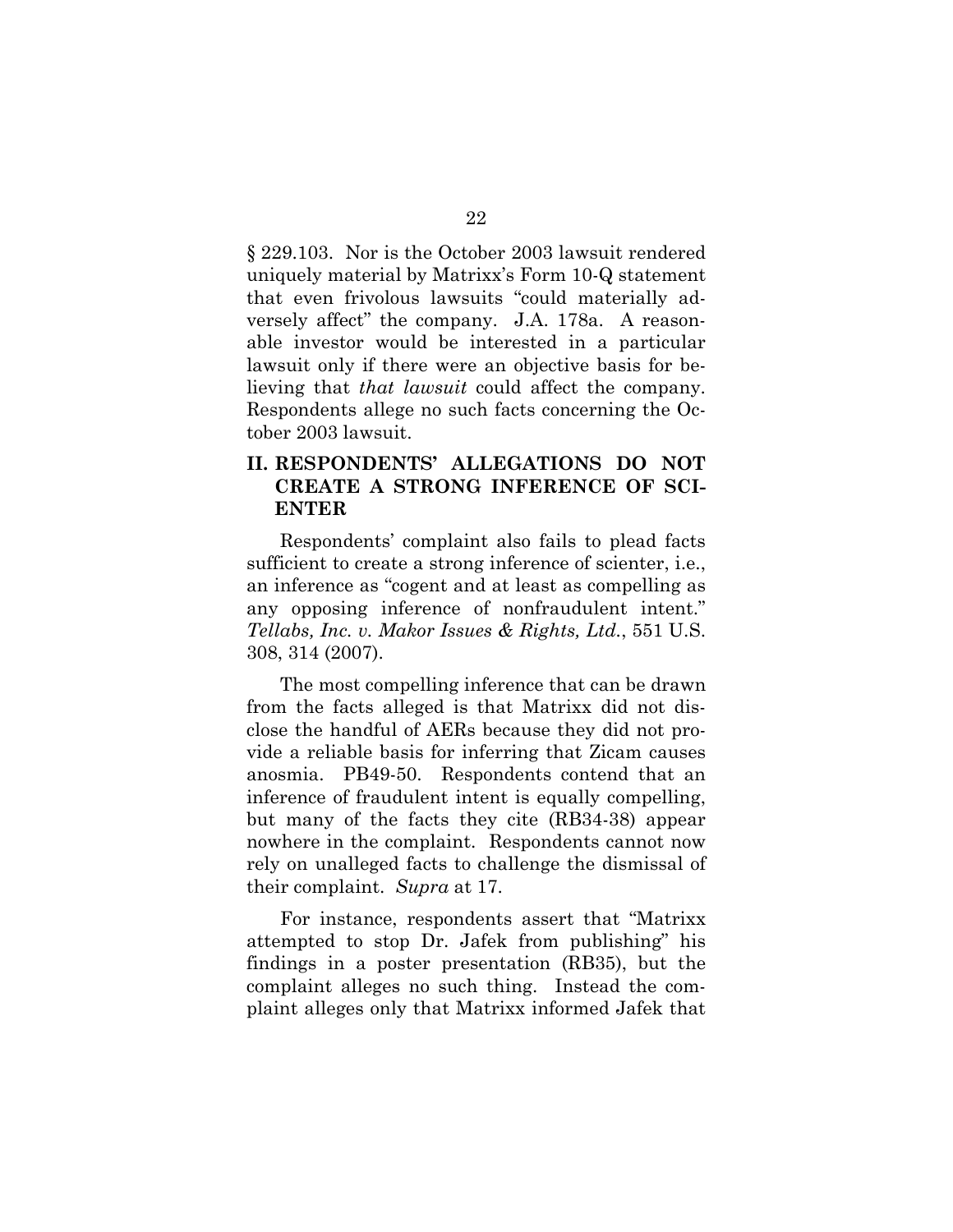§ 229.103. Nor is the October 2003 lawsuit rendered uniquely material by Matrixx's Form 10-Q statement that even frivolous lawsuits "could materially adversely affect" the company. J.A. 178a. A reasonable investor would be interested in a particular lawsuit only if there were an objective basis for believing that *that lawsuit* could affect the company. Respondents allege no such facts concerning the October 2003 lawsuit.

### **II. RESPONDENTS' ALLEGATIONS DO NOT CREATE A STRONG INFERENCE OF SCI-ENTER**

Respondents' complaint also fails to plead facts sufficient to create a strong inference of scienter, i.e., an inference as "cogent and at least as compelling as any opposing inference of nonfraudulent intent." *Tellabs, Inc. v. Makor Issues & Rights, Ltd.*, 551 U.S. 308, 314 (2007).

The most compelling inference that can be drawn from the facts alleged is that Matrixx did not disclose the handful of AERs because they did not provide a reliable basis for inferring that Zicam causes anosmia. PB49-50. Respondents contend that an inference of fraudulent intent is equally compelling, but many of the facts they cite (RB34-38) appear nowhere in the complaint. Respondents cannot now rely on unalleged facts to challenge the dismissal of their complaint. *Supra* at 17.

For instance, respondents assert that "Matrixx attempted to stop Dr. Jafek from publishing" his findings in a poster presentation (RB35), but the complaint alleges no such thing. Instead the complaint alleges only that Matrixx informed Jafek that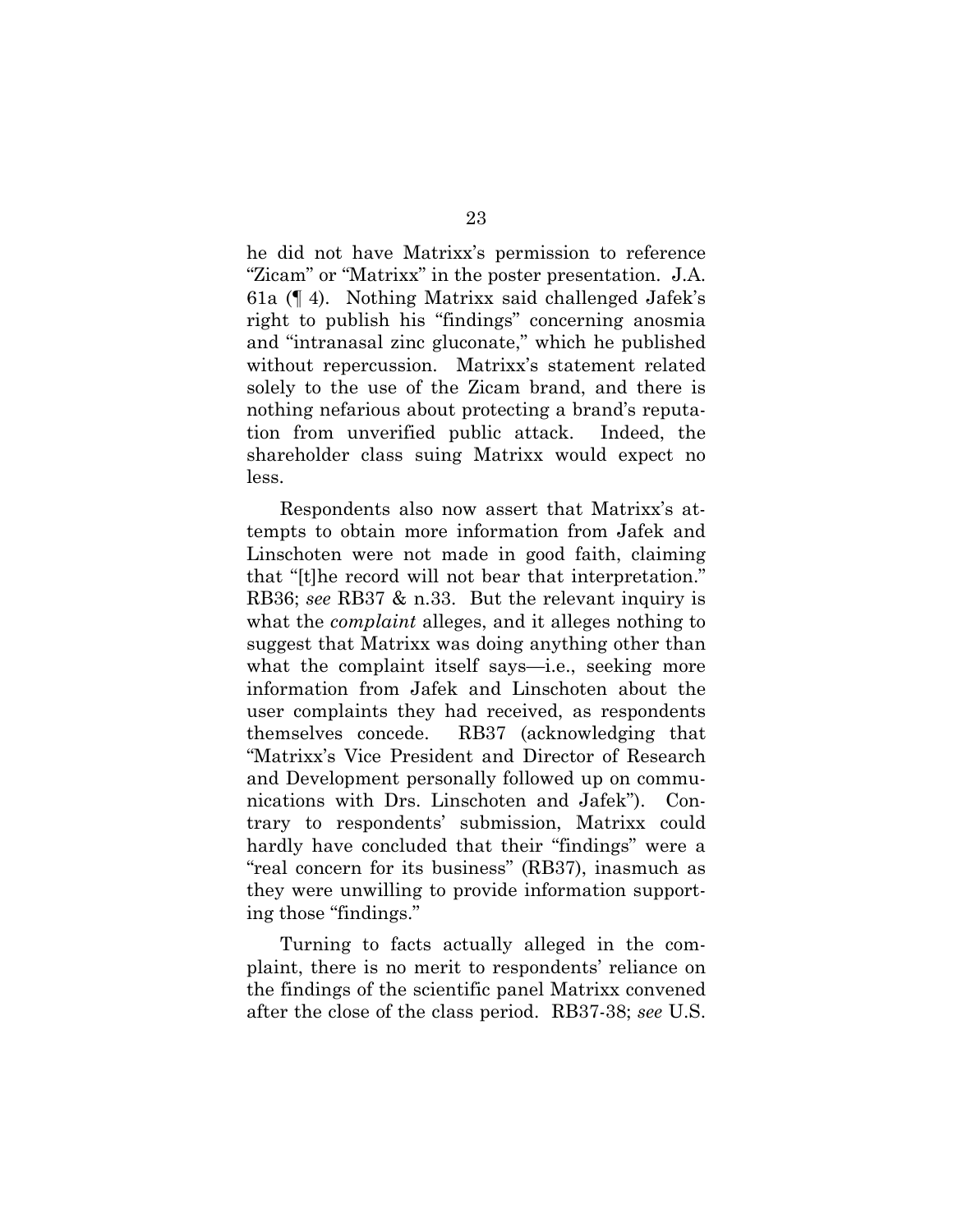he did not have Matrixx's permission to reference "Zicam" or "Matrixx" in the poster presentation. J.A. 61a (¶ 4). Nothing Matrixx said challenged Jafek's right to publish his "findings" concerning anosmia and "intranasal zinc gluconate," which he published without repercussion. Matrixx's statement related solely to the use of the Zicam brand, and there is nothing nefarious about protecting a brand's reputation from unverified public attack. Indeed, the shareholder class suing Matrixx would expect no less.

Respondents also now assert that Matrixx's attempts to obtain more information from Jafek and Linschoten were not made in good faith, claiming that "[t]he record will not bear that interpretation." RB36; *see* RB37 & n.33. But the relevant inquiry is what the *complaint* alleges, and it alleges nothing to suggest that Matrixx was doing anything other than what the complaint itself says—i.e., seeking more information from Jafek and Linschoten about the user complaints they had received, as respondents themselves concede. RB37 (acknowledging that "Matrixx's Vice President and Director of Research and Development personally followed up on communications with Drs. Linschoten and Jafek"). Contrary to respondents' submission, Matrixx could hardly have concluded that their "findings" were a "real concern for its business" (RB37), inasmuch as they were unwilling to provide information supporting those "findings."

Turning to facts actually alleged in the complaint, there is no merit to respondents' reliance on the findings of the scientific panel Matrixx convened after the close of the class period. RB37-38; *see* U.S.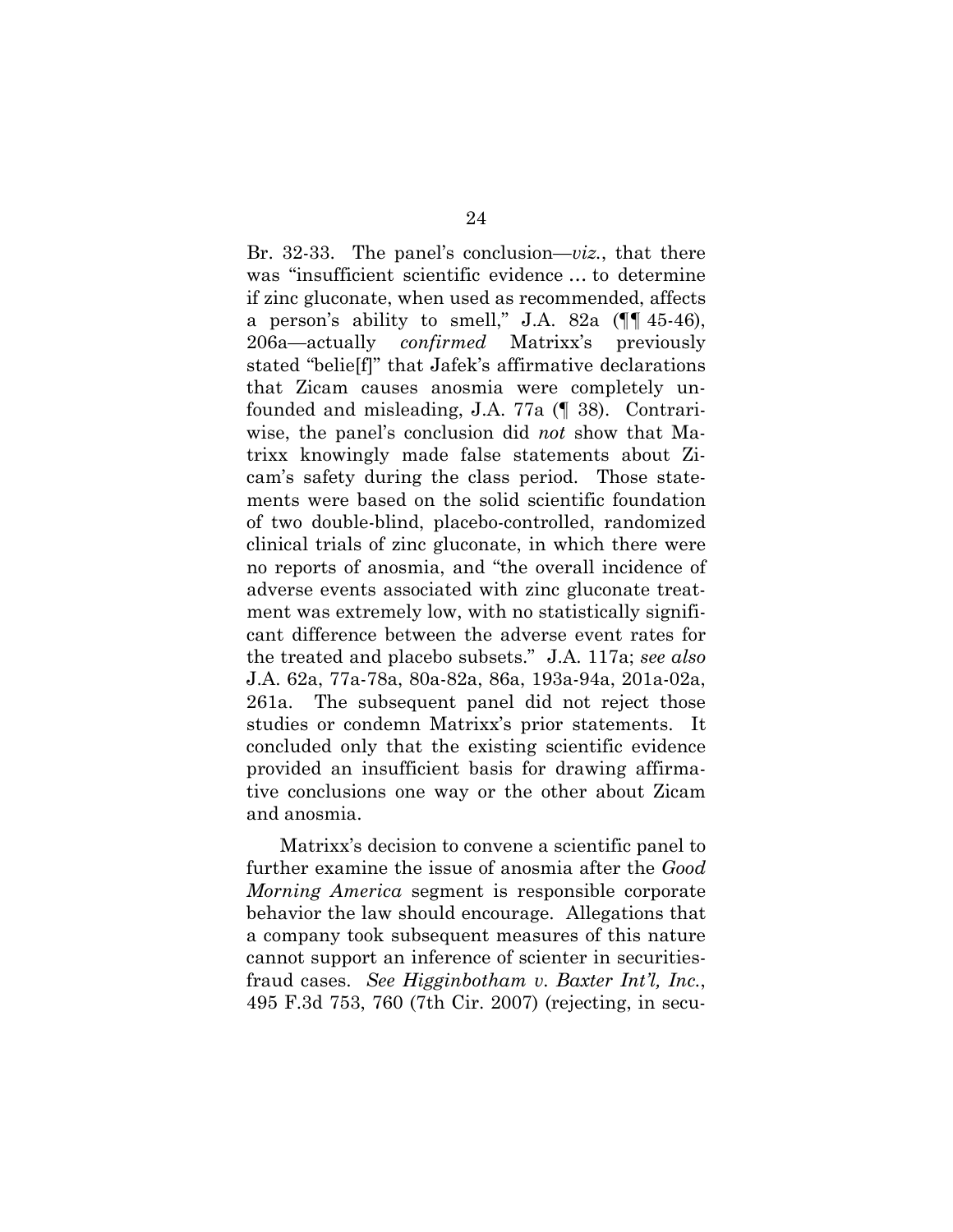Br. 32-33. The panel's conclusion—*viz.*, that there was "insufficient scientific evidence … to determine if zinc gluconate, when used as recommended, affects a person's ability to smell," J.A. 82a  $(\P\P 45-46)$ , 206a—actually *confirmed* Matrixx's previously stated "belie[f]" that Jafek's affirmative declarations that Zicam causes anosmia were completely unfounded and misleading, J.A. 77a (¶ 38). Contrariwise, the panel's conclusion did *not* show that Matrixx knowingly made false statements about Zicam's safety during the class period. Those statements were based on the solid scientific foundation of two double-blind, placebo-controlled, randomized clinical trials of zinc gluconate, in which there were no reports of anosmia, and "the overall incidence of adverse events associated with zinc gluconate treatment was extremely low, with no statistically significant difference between the adverse event rates for the treated and placebo subsets." J.A. 117a; *see also* J.A. 62a, 77a-78a, 80a-82a, 86a, 193a-94a, 201a-02a, 261a. The subsequent panel did not reject those studies or condemn Matrixx's prior statements. It concluded only that the existing scientific evidence provided an insufficient basis for drawing affirmative conclusions one way or the other about Zicam and anosmia.

Matrixx's decision to convene a scientific panel to further examine the issue of anosmia after the *Good Morning America* segment is responsible corporate behavior the law should encourage. Allegations that a company took subsequent measures of this nature cannot support an inference of scienter in securitiesfraud cases. *See Higginbotham v. Baxter Int'l, Inc.*, 495 F.3d 753, 760 (7th Cir. 2007) (rejecting, in secu